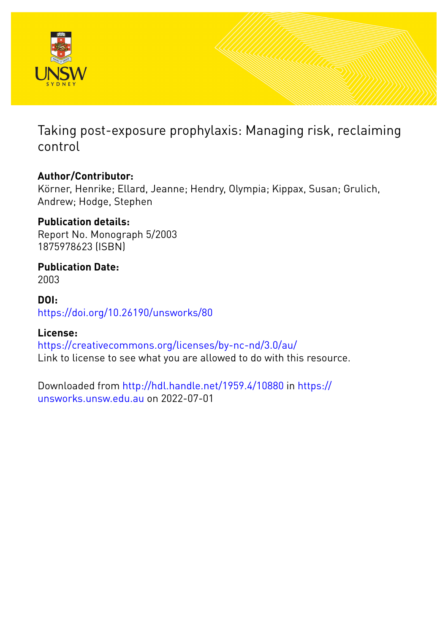

Taking post-exposure prophylaxis: Managing risk, reclaiming control

## **Author/Contributor:**

Körner, Henrike; Ellard, Jeanne; Hendry, Olympia; Kippax, Susan; Grulich, Andrew; Hodge, Stephen

## **Publication details:**

Report No. Monograph 5/2003 1875978623 (ISBN)

### **Publication Date:** 2003

**DOI:** [https://doi.org/10.26190/unsworks/80](http://dx.doi.org/https://doi.org/10.26190/unsworks/80)

### **License:**

<https://creativecommons.org/licenses/by-nc-nd/3.0/au/> Link to license to see what you are allowed to do with this resource.

Downloaded from <http://hdl.handle.net/1959.4/10880> in [https://](https://unsworks.unsw.edu.au) [unsworks.unsw.edu.au](https://unsworks.unsw.edu.au) on 2022-07-01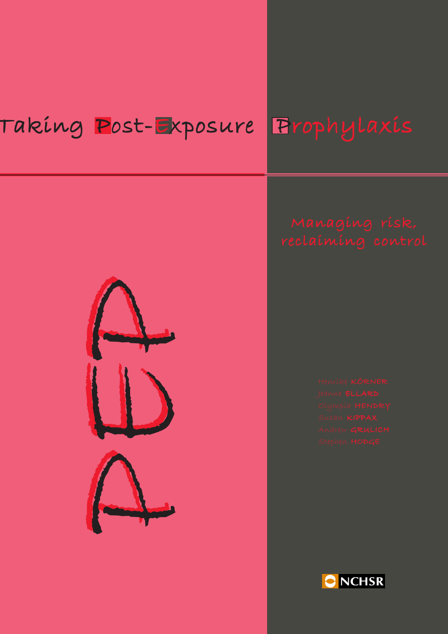# Taking <mark>P</mark>ost-Exposure Prophylaxis



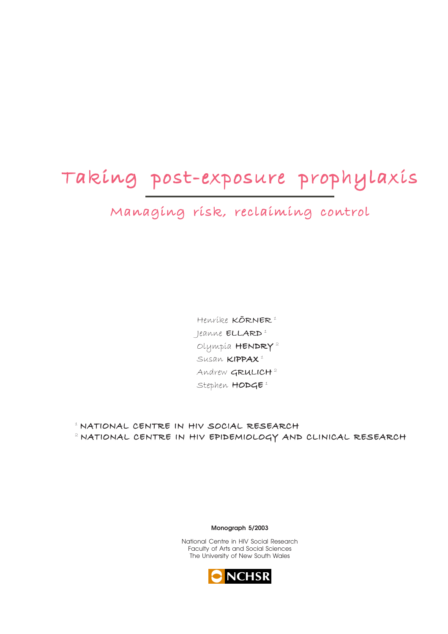# Taking post-exposure prophylaxis Taking post-exposure prophylaxisTaking post-exposure prophylaxis

Managing risk, reclaiming control

Henrike KÖRNER<sup>1</sup> Jeanne ELLARD<sup>1</sup> Olympia HENDRY 2 Susan KIPPAX<sup>1</sup> Andrew GRULICH<sup>2</sup> Stephen  $HODGE^1$ 

1 NATIONAL CENTRE IN HIV SOCIAL RESEARCH 2 NATIONAL CENTRE IN HIV EPIDEMIOLOGY AND CLINICAL RESEARCH

**Monograph 5/2003**

National Centre in HIV Social Research Faculty of Arts and Social Sciences The University of New South Wales

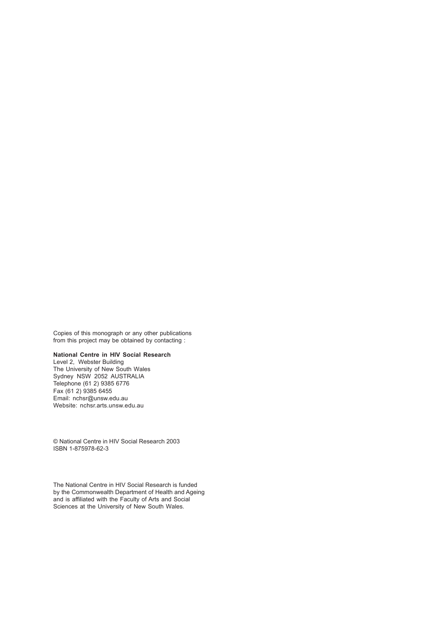Copies of this monograph or any other publications from this project may be obtained by contacting :

#### **National Centre in HIV Social Research**

Level 2, Webster Building The University of New South Wales Sydney NSW 2052 AUSTRALIA Telephone (61 2) 9385 6776 Fax (61 2) 9385 6455 Email: nchsr@unsw.edu.au Website: nchsr.arts.unsw.edu.au

© National Centre in HIV Social Research 2003 ISBN 1-875978-62-3

The National Centre in HIV Social Research is funded by the Commonwealth Department of Health and Ageing and is affiliated with the Faculty of Arts and Social Sciences at the University of New South Wales.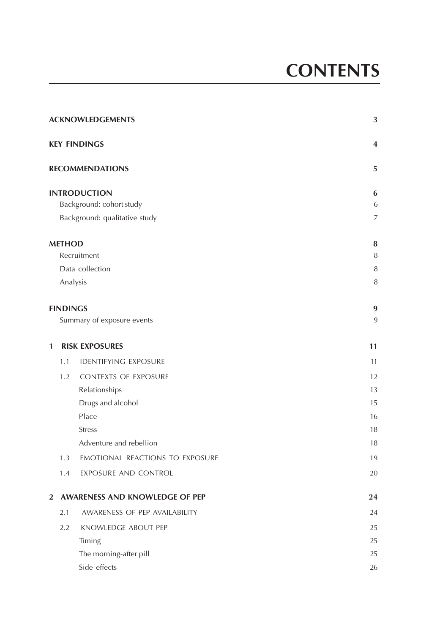|                 | <b>ACKNOWLEDGEMENTS</b>         | 3                |
|-----------------|---------------------------------|------------------|
|                 | <b>KEY FINDINGS</b>             | 4                |
|                 | <b>RECOMMENDATIONS</b>          | 5                |
|                 | <b>INTRODUCTION</b>             | 6                |
|                 | Background: cohort study        | 6                |
|                 | Background: qualitative study   | $\overline{7}$   |
| <b>METHOD</b>   |                                 | 8                |
|                 | Recruitment                     | $\, 8$           |
|                 | Data collection                 | $\, 8$           |
|                 | Analysis                        | $\, 8$           |
| <b>FINDINGS</b> |                                 | $\boldsymbol{9}$ |
|                 | Summary of exposure events      | 9                |
| 1               | <b>RISK EXPOSURES</b>           | 11               |
| 1.1             | <b>IDENTIFYING EXPOSURE</b>     | 11               |
| 1.2             | <b>CONTEXTS OF EXPOSURE</b>     | 12               |
|                 | Relationships                   | 13               |
|                 | Drugs and alcohol               | 15               |
|                 | Place                           | 16               |
|                 | <b>Stress</b>                   | 18               |
|                 | Adventure and rebellion         | 18               |
| 1.3             | EMOTIONAL REACTIONS TO EXPOSURE | 19               |
| 1.4             | EXPOSURE AND CONTROL            | 20               |
| $\overline{2}$  | AWARENESS AND KNOWLEDGE OF PEP  | 24               |
| 2.1             | AWARENESS OF PEP AVAILABILITY   | 24               |
| 2.2             | KNOWLEDGE ABOUT PEP             | 25               |
|                 | Timing                          | 25               |
|                 | The morning-after pill          | 25               |
|                 | Side effects                    | 26               |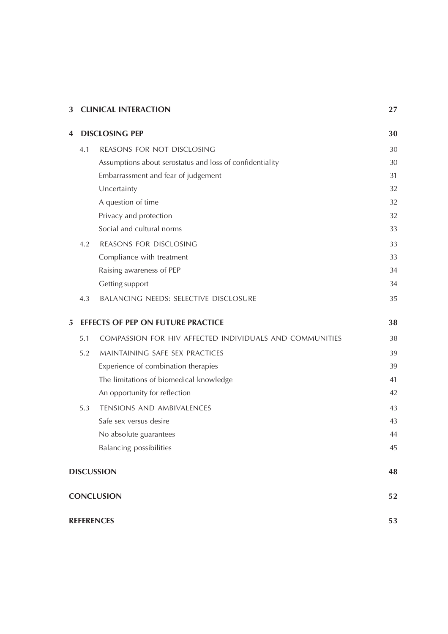| 3                 |                   | <b>CLINICAL INTERACTION</b>                              | 27 |
|-------------------|-------------------|----------------------------------------------------------|----|
| 4                 |                   | <b>DISCLOSING PEP</b>                                    | 30 |
|                   | 4.1               | REASONS FOR NOT DISCLOSING                               | 30 |
|                   |                   | Assumptions about serostatus and loss of confidentiality | 30 |
|                   |                   | Embarrassment and fear of judgement                      | 31 |
|                   |                   | Uncertainty                                              | 32 |
|                   |                   | A question of time                                       | 32 |
|                   |                   | Privacy and protection                                   | 32 |
|                   |                   | Social and cultural norms                                | 33 |
|                   | 4.2               | REASONS FOR DISCLOSING                                   | 33 |
|                   |                   | Compliance with treatment                                | 33 |
|                   |                   | Raising awareness of PEP                                 | 34 |
|                   |                   | Getting support                                          | 34 |
|                   | 4.3               | BALANCING NEEDS: SELECTIVE DISCLOSURE                    | 35 |
| 5                 |                   | EFFECTS OF PEP ON FUTURE PRACTICE                        | 38 |
|                   | 5.1               | COMPASSION FOR HIV AFFECTED INDIVIDUALS AND COMMUNITIES  | 38 |
|                   | 5.2               | MAINTAINING SAFE SEX PRACTICES                           | 39 |
|                   |                   | Experience of combination therapies                      | 39 |
|                   |                   | The limitations of biomedical knowledge                  | 41 |
|                   |                   | An opportunity for reflection                            | 42 |
|                   | 5.3               | <b>TENSIONS AND AMBIVALENCES</b>                         | 43 |
|                   |                   | Safe sex versus desire                                   | 43 |
|                   |                   | No absolute guarantees                                   | 44 |
|                   |                   | <b>Balancing possibilities</b>                           | 45 |
|                   | <b>DISCUSSION</b> |                                                          | 48 |
| <b>CONCLUSION</b> |                   | 52                                                       |    |
|                   | <b>REFERENCES</b> |                                                          | 53 |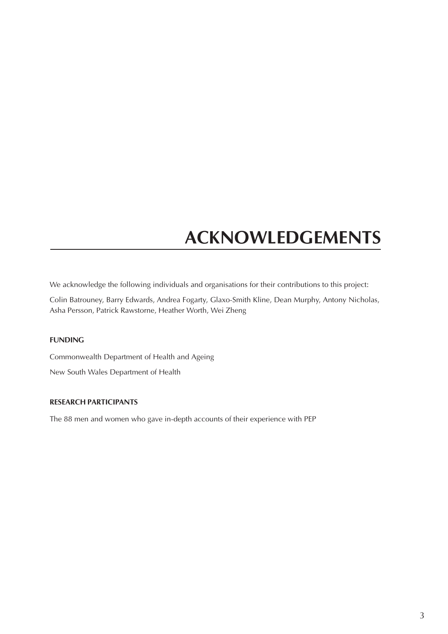# **ACKNOWLEDGEMENTS**

<span id="page-6-0"></span>We acknowledge the following individuals and organisations for their contributions to this project:

Colin Batrouney, Barry Edwards, Andrea Fogarty, Glaxo-Smith Kline, Dean Murphy, Antony Nicholas, Asha Persson, Patrick Rawstorne, Heather Worth, Wei Zheng

#### **FUNDING**

Commonwealth Department of Health and Ageing New South Wales Department of Health

#### **RESEARCH PARTICIPANTS**

The 88 men and women who gave in-depth accounts of their experience with PEP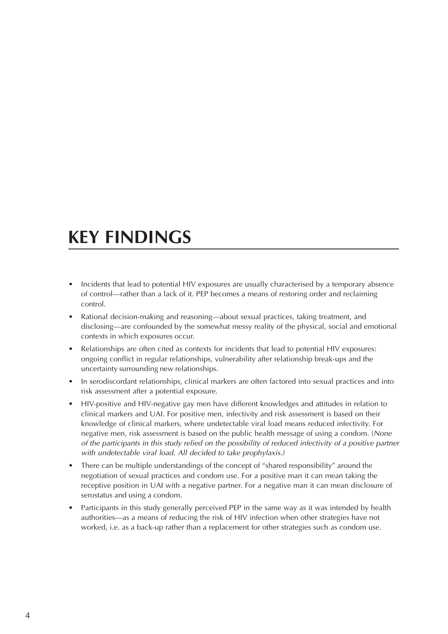# <span id="page-7-0"></span>**KEY FINDINGS**

- Incidents that lead to potential HIV exposures are usually characterised by a temporary absence of control—rather than a lack of it. PEP becomes a means of restoring order and reclaiming control.
- Rational decision-making and reasoning—about sexual practices, taking treatment, and disclosing—are confounded by the somewhat messy reality of the physical, social and emotional contexts in which exposures occur.
- Relationships are often cited as contexts for incidents that lead to potential HIV exposures: ongoing conflict in regular relationships, vulnerability after relationship break-ups and the uncertainty surrounding new relationships.
- In serodiscordant relationships, clinical markers are often factored into sexual practices and into risk assessment after a potential exposure.
- HIV-positive and HIV-negative gay men have different knowledges and attitudes in relation to clinical markers and UAI. For positive men, infectivity and risk assessment is based on their knowledge of clinical markers, where undetectable viral load means reduced infectivity. For negative men, risk assessment is based on the public health message of using a condom. (None of the participants in this study relied on the possibility of reduced infectivity of a positive partner with undetectable viral load. All decided to take prophylaxis.)
- There can be multiple understandings of the concept of "shared responsibility" around the negotiation of sexual practices and condom use. For a positive man it can mean taking the receptive position in UAI with a negative partner. For a negative man it can mean disclosure of serostatus and using a condom.
- Participants in this study generally perceived PEP in the same way as it was intended by health authorities—as a means of reducing the risk of HIV infection when other strategies have not worked, i.e. as a back-up rather than a replacement for other strategies such as condom use.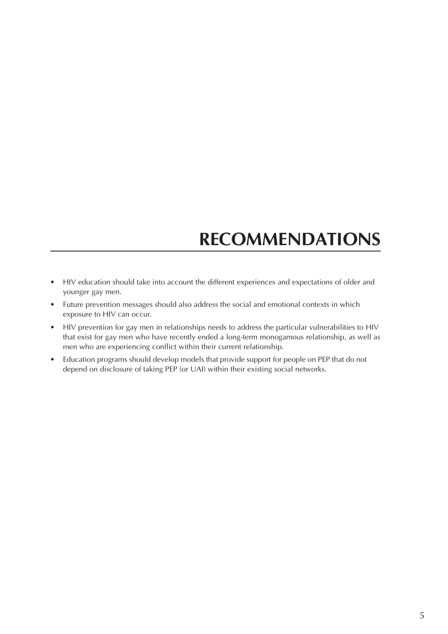# **RECOMMENDATIONS**

- <span id="page-8-0"></span>• HIV education should take into account the different experiences and expectations of older and younger gay men.
- Future prevention messages should also address the social and emotional contexts in which exposure to HIV can occur.
- HIV prevention for gay men in relationships needs to address the particular vulnerabilities to HIV that exist for gay men who have recently ended a long-term monogamous relationship, as well as men who are experiencing conflict within their current relationship.
- Education programs should develop models that provide support for people on PEP that do not depend on disclosure of taking PEP (or UAI) within their existing social networks.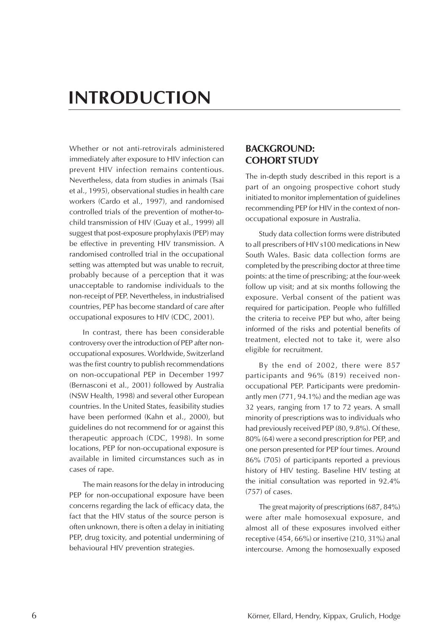# <span id="page-9-0"></span>**INTRODUCTION**

Whether or not anti-retrovirals administered immediately after exposure to HIV infection can prevent HIV infection remains contentious. Nevertheless, data from studies in animals (Tsai et al., 1995), observational studies in health care workers (Cardo et al., 1997), and randomised controlled trials of the prevention of mother-tochild transmission of HIV (Guay et al., 1999) all suggest that post-exposure prophylaxis (PEP) may be effective in preventing HIV transmission. A randomised controlled trial in the occupational setting was attempted but was unable to recruit, probably because of a perception that it was unacceptable to randomise individuals to the non-receipt of PEP. Nevertheless, in industrialised countries, PEP has become standard of care after occupational exposures to HIV (CDC, 2001).

In contrast, there has been considerable controversy over the introduction of PEP after nonoccupational exposures. Worldwide, Switzerland was the first country to publish recommendations on non-occupational PEP in December 1997 (Bernasconi et al., 2001) followed by Australia (NSW Health, 1998) and several other European countries. In the United States, feasibility studies have been performed (Kahn et al., 2000), but guidelines do not recommend for or against this therapeutic approach (CDC, 1998). In some locations, PEP for non-occupational exposure is available in limited circumstances such as in cases of rape.

The main reasons for the delay in introducing PEP for non-occupational exposure have been concerns regarding the lack of efficacy data, the fact that the HIV status of the source person is often unknown, there is often a delay in initiating PEP, drug toxicity, and potential undermining of behavioural HIV prevention strategies.

#### **BACKGROUND: COHORT STUDY**

The in-depth study described in this report is a part of an ongoing prospective cohort study initiated to monitor implementation of guidelines recommending PEP for HIV in the context of nonoccupational exposure in Australia.

Study data collection forms were distributed to all prescribers of HIV s100 medications in New South Wales. Basic data collection forms are completed by the prescribing doctor at three time points: at the time of prescribing; at the four-week follow up visit; and at six months following the exposure. Verbal consent of the patient was required for participation. People who fulfilled the criteria to receive PEP but who, after being informed of the risks and potential benefits of treatment, elected not to take it, were also eligible for recruitment.

By the end of 2002, there were 857 participants and 96% (819) received nonoccupational PEP. Participants were predominantly men (771, 94.1%) and the median age was 32 years, ranging from 17 to 72 years. A small minority of prescriptions was to individuals who had previously received PEP (80, 9.8%). Of these, 80% (64) were a second prescription for PEP, and one person presented for PEP four times. Around 86% (705) of participants reported a previous history of HIV testing. Baseline HIV testing at the initial consultation was reported in 92.4% (757) of cases.

The great majority of prescriptions (687, 84%) were after male homosexual exposure, and almost all of these exposures involved either receptive (454, 66%) or insertive (210, 31%) anal intercourse. Among the homosexually exposed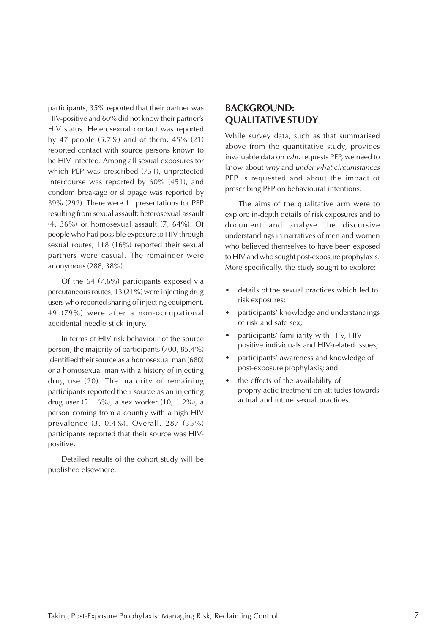<span id="page-10-0"></span>participants, 35% reported that their partner was HIV-positive and 60% did not know their partner's HIV status. Heterosexual contact was reported by 47 people (5.7%) and of them, 45% (21) reported contact with source persons known to be HIV infected. Among all sexual exposures for which PEP was prescribed (751), unprotected intercourse was reported by 60% (451), and condom breakage or slippage was reported by 39% (292). There were 11 presentations for PEP resulting from sexual assault: heterosexual assault (4, 36%) or homosexual assault (7, 64%). Of people who had possible exposure to HIV through sexual routes, 118 (16%) reported their sexual partners were casual. The remainder were anonymous (288, 38%).

Of the 64 (7.6%) participants exposed via percutaneous routes, 13 (21%) were injecting drug users who reported sharing of injecting equipment. 49 (79%) were after a non-occupational accidental needle stick injury.

In terms of HIV risk behaviour of the source person, the majority of participants (700, 85.4%) identified their source as a homosexual man (680) or a homosexual man with a history of injecting drug use (20). The majority of remaining participants reported their source as an injecting drug user (51, 6%), a sex worker (10, 1.2%), a person coming from a country with a high HIV prevalence (3, 0.4%). Overall, 287 (35%) participants reported that their source was HIVpositive.

Detailed results of the cohort study will be published elsewhere.

#### **BACKGROUND: QUALITATIVE STUDY**

While survey data, such as that summarised above from the quantitative study, provides invaluable data on who requests PEP, we need to know about why and under what circumstances PEP is requested and about the impact of prescribing PEP on behavioural intentions.

The aims of the qualitative arm were to explore in-depth details of risk exposures and to document and analyse the discursive understandings in narratives of men and women who believed themselves to have been exposed to HIV and who sought post-exposure prophylaxis. More specifically, the study sought to explore:

- details of the sexual practices which led to risk exposures;
- participants' knowledge and understandings of risk and safe sex;
- participants' familiarity with HIV, HIVpositive individuals and HIV-related issues;
- participants' awareness and knowledge of post-exposure prophylaxis; and
- the effects of the availability of prophylactic treatment on attitudes towards actual and future sexual practices.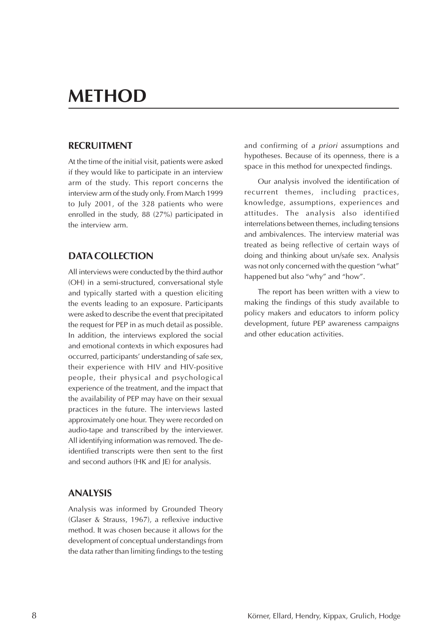# <span id="page-11-0"></span>**METHOD**

#### **RECRUITMENT**

At the time of the initial visit, patients were asked if they would like to participate in an interview arm of the study. This report concerns the interview arm of the study only. From March 1999 to July 2001, of the 328 patients who were enrolled in the study, 88 (27%) participated in the interview arm.

#### **DATA COLLECTION**

All interviews were conducted by the third author (OH) in a semi-structured, conversational style and typically started with a question eliciting the events leading to an exposure. Participants were asked to describe the event that precipitated the request for PEP in as much detail as possible. In addition, the interviews explored the social and emotional contexts in which exposures had occurred, participants' understanding of safe sex, their experience with HIV and HIV-positive people, their physical and psychological experience of the treatment, and the impact that the availability of PEP may have on their sexual practices in the future. The interviews lasted approximately one hour. They were recorded on audio-tape and transcribed by the interviewer. All identifying information was removed. The deidentified transcripts were then sent to the first and second authors (HK and JE) for analysis.

#### **ANALYSIS**

Analysis was informed by Grounded Theory (Glaser & Strauss, 1967), a reflexive inductive method. It was chosen because it allows for the development of conceptual understandings from the data rather than limiting findings to the testing and confirming of a priori assumptions and hypotheses. Because of its openness, there is a space in this method for unexpected findings.

Our analysis involved the identification of recurrent themes, including practices, knowledge, assumptions, experiences and attitudes. The analysis also identified interrelations between themes, including tensions and ambivalences. The interview material was treated as being reflective of certain ways of doing and thinking about un/safe sex. Analysis was not only concerned with the question "what" happened but also "why" and "how".

The report has been written with a view to making the findings of this study available to policy makers and educators to inform policy development, future PEP awareness campaigns and other education activities.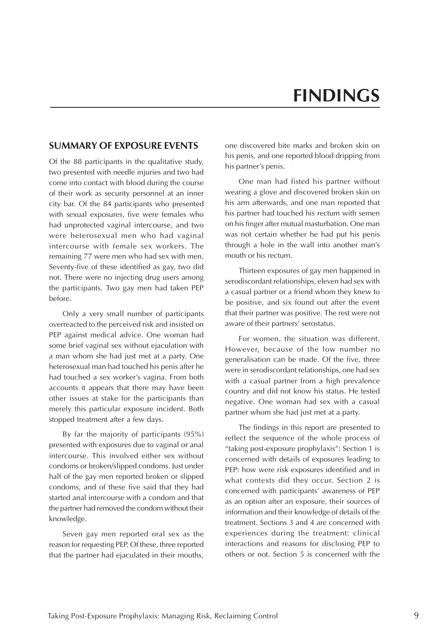# **FINDINGS**

#### <span id="page-12-0"></span>**SUMMARY OF EXPOSURE EVENTS**

Of the 88 participants in the qualitative study, two presented with needle injuries and two had come into contact with blood during the course of their work as security personnel at an inner city bar. Of the 84 participants who presented with sexual exposures, five were females who had unprotected vaginal intercourse, and two were heterosexual men who had vaginal intercourse with female sex workers. The remaining 77 were men who had sex with men. Seventy-five of these identified as gay, two did not. There were no injecting drug users among the participants. Two gay men had taken PEP before.

Only a very small number of participants overreacted to the perceived risk and insisted on PEP against medical advice. One woman had some brief vaginal sex without ejaculation with a man whom she had just met at a party. One heterosexual man had touched his penis after he had touched a sex worker's vagina. From both accounts it appears that there may have been other issues at stake for the participants than merely this particular exposure incident. Both stopped treatment after a few days.

By far the majority of participants (95%) presented with exposures due to vaginal or anal intercourse. This involved either sex without condoms or broken/slipped condoms. Just under half of the gay men reported broken or slipped condoms, and of these five said that they had started anal intercourse with a condom and that the partner had removed the condom without their knowledge.

Seven gay men reported oral sex as the reason for requesting PEP. Of these, three reported that the partner had ejaculated in their mouths, one discovered bite marks and broken skin on his penis, and one reported blood dripping from his partner's penis.

One man had fisted his partner without wearing a glove and discovered broken skin on his arm afterwards, and one man reported that his partner had touched his rectum with semen on his finger after mutual masturbation. One man was not certain whether he had put his penis through a hole in the wall into another man's mouth or his rectum.

Thirteen exposures of gay men happened in serodiscordant relationships, eleven had sex with a casual partner or a friend whom they knew to be positive, and six found out after the event that their partner was positive. The rest were not aware of their partners' serostatus.

For women, the situation was different. However, because of the low number no generalisation can be made. Of the five, three were in serodiscordant relationships, one had sex with a casual partner from a high prevalence country and did not know his status. He tested negative. One woman had sex with a casual partner whom she had just met at a party.

The findings in this report are presented to reflect the sequence of the whole process of "taking post-exposure prophylaxis": Section 1 is concerned with details of exposures leading to PEP: how were risk exposures identified and in what contexts did they occur. Section 2 is concerned with participants' awareness of PEP as an option after an exposure, their sources of information and their knowledge of details of the treatment. Sections 3 and 4 are concerned with experiences during the treatment: clinical interactions and reasons for disclosing PEP to others or not. Section 5 is concerned with the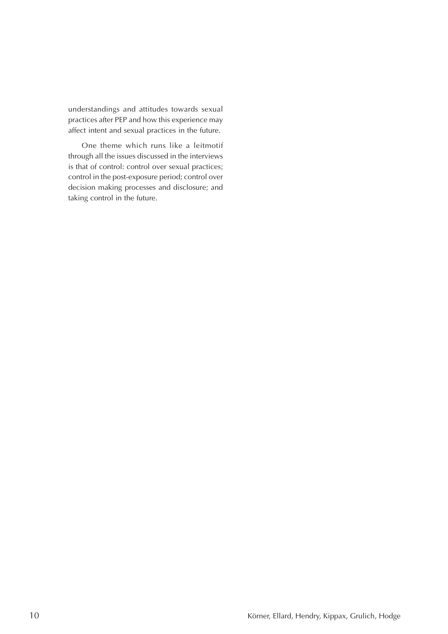understandings and attitudes towards sexual practices after PEP and how this experience may affect intent and sexual practices in the future.

One theme which runs like a leitmotif through all the issues discussed in the interviews is that of control: control over sexual practices; control in the post-exposure period; control over decision making processes and disclosure; and taking control in the future.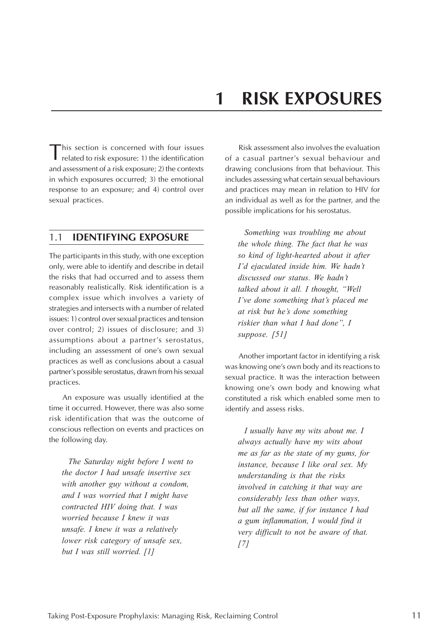<span id="page-14-0"></span>This section is concerned with four issues related to risk exposure: 1) the identification and assessment of a risk exposure; 2) the contexts in which exposures occurred; 3) the emotional response to an exposure; and 4) control over sexual practices.

#### 1.1 **IDENTIFYING EXPOSURE**

The participants in this study, with one exception only, were able to identify and describe in detail the risks that had occurred and to assess them reasonably realistically. Risk identification is a complex issue which involves a variety of strategies and intersects with a number of related issues: 1) control over sexual practices and tension over control; 2) issues of disclosure; and 3) assumptions about a partner's serostatus, including an assessment of one's own sexual practices as well as conclusions about a casual partner's possible serostatus, drawn from his sexual practices.

An exposure was usually identified at the time it occurred. However, there was also some risk identification that was the outcome of conscious reflection on events and practices on the following day.

*The Saturday night before I went to the doctor I had unsafe insertive sex with another guy without a condom, and I was worried that I might have contracted HIV doing that. I was worried because I knew it was unsafe. I knew it was a relatively lower risk category of unsafe sex, but I was still worried. [1]*

Risk assessment also involves the evaluation of a casual partner's sexual behaviour and drawing conclusions from that behaviour. This includes assessing what certain sexual behaviours and practices may mean in relation to HIV for an individual as well as for the partner, and the possible implications for his serostatus.

*Something was troubling me about the whole thing. The fact that he was so kind of light-hearted about it after I'd ejaculated inside him. We hadn't discussed our status. We hadn't talked about it all. I thought, "Well I've done something that's placed me at risk but he's done something riskier than what I had done", I suppose. [51]*

Another important factor in identifying a risk was knowing one's own body and its reactions to sexual practice. It was the interaction between knowing one's own body and knowing what constituted a risk which enabled some men to identify and assess risks.

*I usually have my wits about me. I always actually have my wits about me as far as the state of my gums, for instance, because I like oral sex. My understanding is that the risks involved in catching it that way are considerably less than other ways, but all the same, if for instance I had a gum inflammation, I would find it very difficult to not be aware of that. [7]*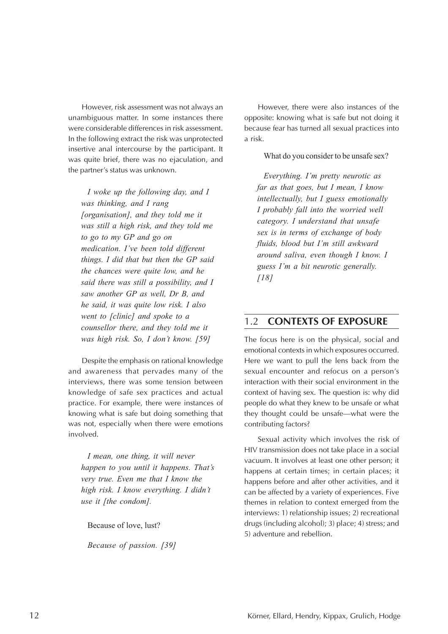<span id="page-15-0"></span>However, risk assessment was not always an unambiguous matter. In some instances there were considerable differences in risk assessment. In the following extract the risk was unprotected insertive anal intercourse by the participant. It was quite brief, there was no ejaculation, and the partner's status was unknown.

*I woke up the following day, and I was thinking, and I rang [organisation], and they told me it was still a high risk, and they told me to go to my GP and go on medication. I've been told different things. I did that but then the GP said the chances were quite low, and he said there was still a possibility, and I saw another GP as well, Dr B, and he said, it was quite low risk. I also went to [clinic] and spoke to a counsellor there, and they told me it was high risk. So, I don't know. [59]*

Despite the emphasis on rational knowledge and awareness that pervades many of the interviews, there was some tension between knowledge of safe sex practices and actual practice. For example, there were instances of knowing what is safe but doing something that was not, especially when there were emotions involved.

*I mean, one thing, it will never happen to you until it happens. That's very true. Even me that I know the high risk. I know everything. I didn't use it [the condom].*

Because of love, lust?

*Because of passion. [39]*

However, there were also instances of the opposite: knowing what is safe but not doing it because fear has turned all sexual practices into a risk.

What do you consider to be unsafe sex?

*Everything. I'm pretty neurotic as far as that goes, but I mean, I know intellectually, but I guess emotionally I probably fall into the worried well category. I understand that unsafe sex is in terms of exchange of body fluids, blood but I'm still awkward around saliva, even though I know. I guess I'm a bit neurotic generally. [18]*

#### 1.2 **CONTEXTS OF EXPOSURE**

The focus here is on the physical, social and emotional contexts in which exposures occurred. Here we want to pull the lens back from the sexual encounter and refocus on a person's interaction with their social environment in the context of having sex. The question is: why did people do what they knew to be unsafe or what they thought could be unsafe—what were the contributing factors?

Sexual activity which involves the risk of HIV transmission does not take place in a social vacuum. It involves at least one other person; it happens at certain times; in certain places; it happens before and after other activities, and it can be affected by a variety of experiences. Five themes in relation to context emerged from the interviews: 1) relationship issues; 2) recreational drugs (including alcohol); 3) place; 4) stress; and 5) adventure and rebellion.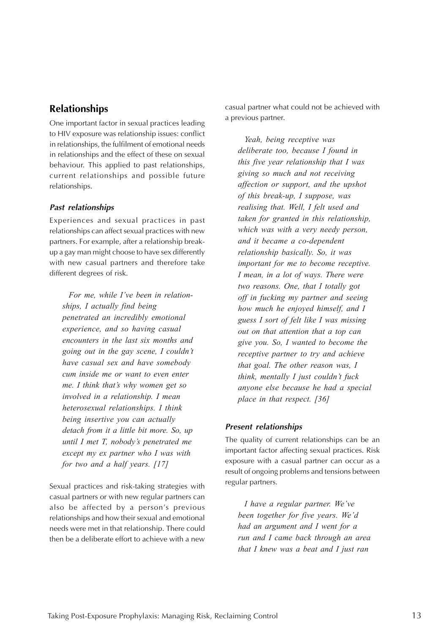### <span id="page-16-0"></span>**Relationships**

One important factor in sexual practices leading to HIV exposure was relationship issues: conflict in relationships, the fulfilment of emotional needs in relationships and the effect of these on sexual behaviour. This applied to past relationships, current relationships and possible future relationships.

#### **Past relationships**

Experiences and sexual practices in past relationships can affect sexual practices with new partners. For example, after a relationship breakup a gay man might choose to have sex differently with new casual partners and therefore take different degrees of risk.

*For me, while I've been in relationships, I actually find being penetrated an incredibly emotional experience, and so having casual encounters in the last six months and going out in the gay scene, I couldn't have casual sex and have somebody cum inside me or want to even enter me. I think that's why women get so involved in a relationship. I mean heterosexual relationships. I think being insertive you can actually detach from it a little bit more. So, up until I met T, nobody's penetrated me except my ex partner who I was with for two and a half years. [17]*

Sexual practices and risk-taking strategies with casual partners or with new regular partners can also be affected by a person's previous relationships and how their sexual and emotional needs were met in that relationship. There could then be a deliberate effort to achieve with a new casual partner what could not be achieved with a previous partner.

*Yeah, being receptive was deliberate too, because I found in this five year relationship that I was giving so much and not receiving affection or support, and the upshot of this break-up, I suppose, was realising that. Well, I felt used and taken for granted in this relationship, which was with a very needy person, and it became a co-dependent relationship basically. So, it was important for me to become receptive. I mean, in a lot of ways. There were two reasons. One, that I totally got off in fucking my partner and seeing how much he enjoyed himself, and I guess I sort of felt like I was missing out on that attention that a top can give you. So, I wanted to become the receptive partner to try and achieve that goal. The other reason was, I think, mentally I just couldn't fuck anyone else because he had a special place in that respect. [36]*

#### **Present relationships**

The quality of current relationships can be an important factor affecting sexual practices. Risk exposure with a casual partner can occur as a result of ongoing problems and tensions between regular partners.

*I have a regular partner. We've been together for five years. We'd had an argument and I went for a run and I came back through an area that I knew was a beat and I just ran*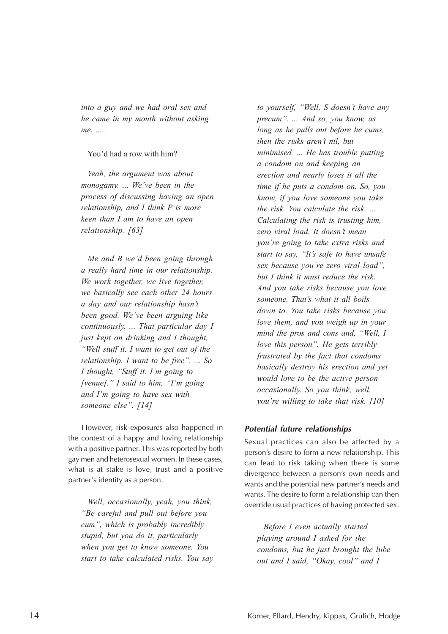*into a guy and we had oral sex and he came in my mouth without asking me. .....*

#### You'd had a row with him?

*Yeah, the argument was about monogamy. ... We've been in the process of discussing having an open relationship, and I think P is more keen than I am to have an open relationship. [63]*

*Me and B we'd been going through a really hard time in our relationship. We work together, we live together, we basically see each other 24 hours a day and our relationship hasn't been good. We've been arguing like continuously. ... That particular day I just kept on drinking and I thought, "Well stuff it. I want to get out of the relationship. I want to be free". ... So I thought, "Stuff it. I'm going to [venue]." I said to him, "I'm going and I'm going to have sex with someone else". [14]*

However, risk exposures also happened in the context of a happy and loving relationship with a positive partner. This was reported by both gay men and heterosexual women. In these cases, what is at stake is love, trust and a positive partner's identity as a person.

*Well, occasionally, yeah, you think, "Be careful and pull out before you cum", which is probably incredibly stupid, but you do it, particularly when you get to know someone. You start to take calculated risks. You say*

*to yourself, "Well, S doesn't have any precum". ... And so, you know, as long as he pulls out before he cums, then the risks aren't nil, but minimised. ... He has trouble putting a condom on and keeping an erection and nearly loses it all the time if he puts a condom on. So, you know, if you love someone you take the risk. You calculate the risk. ... Calculating the risk is trusting him, zero viral load. It doesn't mean you're going to take extra risks and start to say, "It's safe to have unsafe sex because you're zero viral load", but I think it must reduce the risk. And you take risks because you love someone. That's what it all boils down to. You take risks because you love them, and you weigh up in your mind the pros and cons and, "Well, I love this person". He gets terribly frustrated by the fact that condoms basically destroy his erection and yet would love to be the active person occasionally. So you think, well, you're willing to take that risk. [10]*

#### **Potential future relationships**

Sexual practices can also be affected by a person's desire to form a new relationship. This can lead to risk taking when there is some divergence between a person's own needs and wants and the potential new partner's needs and wants. The desire to form a relationship can then override usual practices of having protected sex.

*Before I even actually started playing around I asked for the condoms, but he just brought the lube out and I said, "Okay, cool" and I*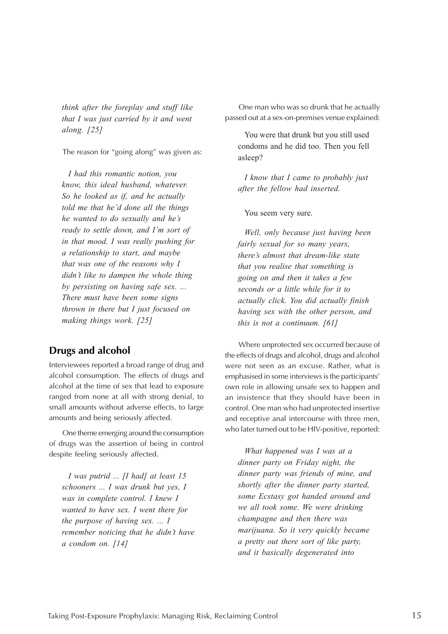<span id="page-18-0"></span>*think after the foreplay and stuff like that I was just carried by it and went along. [25]*

The reason for "going along" was given as:

*I had this romantic notion, you know, this ideal husband, whatever. So he looked as if, and he actually told me that he'd done all the things he wanted to do sexually and he's ready to settle down, and I'm sort of in that mood. I was really pushing for a relationship to start, and maybe that was one of the reasons why I didn't like to dampen the whole thing by persisting on having safe sex. ... There must have been some signs thrown in there but I just focused on making things work. [25]*

#### **Drugs and alcohol**

Interviewees reported a broad range of drug and alcohol consumption. The effects of drugs and alcohol at the time of sex that lead to exposure ranged from none at all with strong denial, to small amounts without adverse effects, to large amounts and being seriously affected.

One theme emerging around the consumption of drugs was the assertion of being in control despite feeling seriously affected.

*I was putrid ... [I had] at least 15 schooners ... I was drunk but yes, I was in complete control. I knew I wanted to have sex. I went there for the purpose of having sex. ... I remember noticing that he didn't have a condom on. [14]*

One man who was so drunk that he actually passed out at a sex-on-premises venue explained:

You were that drunk but you still used condoms and he did too. Then you fell asleep?

*I know that I came to probably just after the fellow had inserted.*

You seem very sure.

*Well, only because just having been fairly sexual for so many years, there's almost that dream-like state that you realise that something is going on and then it takes a few seconds or a little while for it to actually click. You did actually finish having sex with the other person, and this is not a continuum. [61]*

Where unprotected sex occurred because of the effects of drugs and alcohol, drugs and alcohol were not seen as an excuse. Rather, what is emphasised in some interviews is the participants' own role in allowing unsafe sex to happen and an insistence that they should have been in control. One man who had unprotected insertive and receptive anal intercourse with three men, who later turned out to be HIV-positive, reported:

*What happened was I was at a dinner party on Friday night, the dinner party was friends of mine, and shortly after the dinner party started, some Ecstasy got handed around and we all took some. We were drinking champagne and then there was marijuana. So it very quickly became a pretty out there sort of like party, and it basically degenerated into*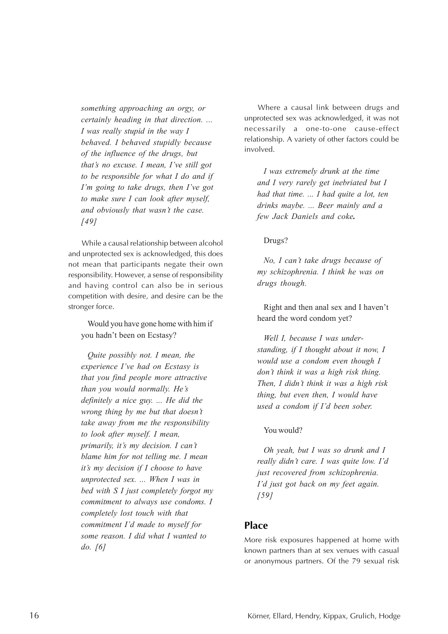<span id="page-19-0"></span>*something approaching an orgy, or certainly heading in that direction. ... I was really stupid in the way I behaved. I behaved stupidly because of the influence of the drugs, but that's no excuse. I mean, I've still got to be responsible for what I do and if I'm going to take drugs, then I've got to make sure I can look after myself, and obviously that wasn't the case. [49]*

While a causal relationship between alcohol and unprotected sex is acknowledged, this does not mean that participants negate their own responsibility. However, a sense of responsibility and having control can also be in serious competition with desire, and desire can be the stronger force.

Would you have gone home with him if you hadn't been on Ecstasy?

*Quite possibly not. I mean, the experience I've had on Ecstasy is that you find people more attractive than you would normally. He's definitely a nice guy. ... He did the wrong thing by me but that doesn't take away from me the responsibility to look after myself. I mean, primarily, it's my decision. I can't blame him for not telling me. I mean it's my decision if I choose to have unprotected sex. ... When I was in bed with S I just completely forgot my commitment to always use condoms. I completely lost touch with that commitment I'd made to myself for some reason. I did what I wanted to do. [6]*

Where a causal link between drugs and unprotected sex was acknowledged, it was not necessarily a one-to-one cause-effect relationship. A variety of other factors could be involved.

*I was extremely drunk at the time and I very rarely get inebriated but I had that time. ... I had quite a lot, ten drinks maybe. ... Beer mainly and a few Jack Daniels and coke.*

#### Drugs?

*No, I can't take drugs because of my schizophrenia. I think he was on drugs though.*

Right and then anal sex and I haven't heard the word condom yet?

*Well I, because I was understanding, if I thought about it now, I would use a condom even though I don't think it was a high risk thing. Then, I didn't think it was a high risk thing, but even then, I would have used a condom if I'd been sober.*

#### You would?

*Oh yeah, but I was so drunk and I really didn't care. I was quite low. I'd just recovered from schizophrenia. I'd just got back on my feet again. [59]*

#### **Place**

More risk exposures happened at home with known partners than at sex venues with casual or anonymous partners. Of the 79 sexual risk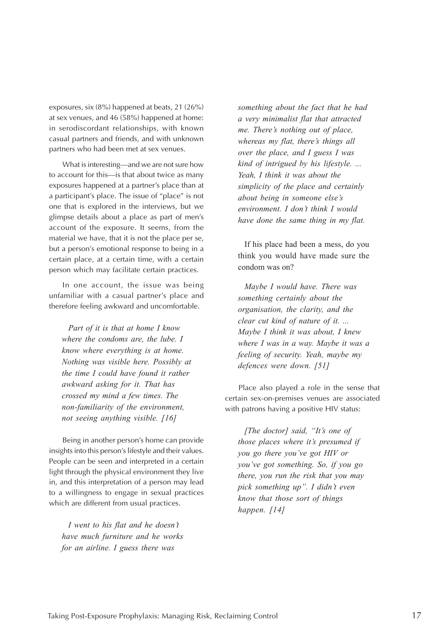exposures, six (8%) happened at beats, 21 (26%) at sex venues, and 46 (58%) happened at home: in serodiscordant relationships, with known casual partners and friends, and with unknown partners who had been met at sex venues.

What is interesting—and we are not sure how to account for this—is that about twice as many exposures happened at a partner's place than at a participant's place. The issue of "place" is not one that is explored in the interviews, but we glimpse details about a place as part of men's account of the exposure. It seems, from the material we have, that it is not the place per se, but a person's emotional response to being in a certain place, at a certain time, with a certain person which may facilitate certain practices.

In one account, the issue was being unfamiliar with a casual partner's place and therefore feeling awkward and uncomfortable.

*Part of it is that at home I know where the condoms are, the lube. I know where everything is at home. Nothing was visible here. Possibly at the time I could have found it rather awkward asking for it. That has crossed my mind a few times. The non-familiarity of the environment, not seeing anything visible. [16]*

Being in another person's home can provide insights into this person's lifestyle and their values. People can be seen and interpreted in a certain light through the physical environment they live in, and this interpretation of a person may lead to a willingness to engage in sexual practices which are different from usual practices.

*I went to his flat and he doesn't have much furniture and he works for an airline. I guess there was*

*something about the fact that he had a very minimalist flat that attracted me. There's nothing out of place, whereas my flat, there's things all over the place, and I guess I was kind of intrigued by his lifestyle. ... Yeah, I think it was about the simplicity of the place and certainly about being in someone else's environment. I don't think I would have done the same thing in my flat.*

If his place had been a mess, do you think you would have made sure the condom was on?

*Maybe I would have. There was something certainly about the organisation, the clarity, and the clear cut kind of nature of it. ... Maybe I think it was about, I knew where I was in a way. Maybe it was a feeling of security. Yeah, maybe my defences were down. [51]*

Place also played a role in the sense that certain sex-on-premises venues are associated with patrons having a positive HIV status:

*[The doctor] said, "It's one of those places where it's presumed if you go there you've got HIV or you've got something. So, if you go there, you run the risk that you may pick something up". I didn't even know that those sort of things happen. [14]*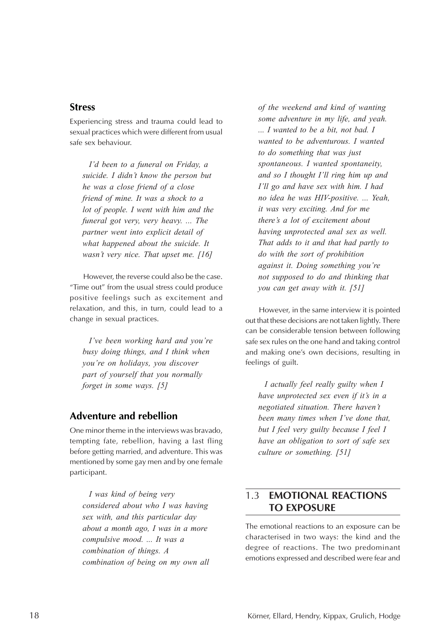#### <span id="page-21-0"></span>**Stress**

Experiencing stress and trauma could lead to sexual practices which were different from usual safe sex behaviour.

*I'd been to a funeral on Friday, a suicide. I didn't know the person but he was a close friend of a close friend of mine. It was a shock to a lot of people. I went with him and the funeral got very, very heavy. ... The partner went into explicit detail of what happened about the suicide. It wasn't very nice. That upset me. [16]*

However, the reverse could also be the case. "Time out" from the usual stress could produce positive feelings such as excitement and relaxation, and this, in turn, could lead to a change in sexual practices.

*I've been working hard and you're busy doing things, and I think when you're on holidays, you discover part of yourself that you normally forget in some ways. [5]*

#### **Adventure and rebellion**

One minor theme in the interviews was bravado, tempting fate, rebellion, having a last fling before getting married, and adventure. This was mentioned by some gay men and by one female participant.

*I was kind of being very considered about who I was having sex with, and this particular day about a month ago, I was in a more compulsive mood. ... It was a combination of things. A combination of being on my own all*

*of the weekend and kind of wanting some adventure in my life, and yeah. ... I wanted to be a bit, not bad. I wanted to be adventurous. I wanted to do something that was just spontaneous. I wanted spontaneity, and so I thought I'll ring him up and I'll go and have sex with him. I had no idea he was HIV-positive. ... Yeah, it was very exciting. And for me there's a lot of excitement about having unprotected anal sex as well. That adds to it and that had partly to do with the sort of prohibition against it. Doing something you're not supposed to do and thinking that you can get away with it. [51]*

However, in the same interview it is pointed out that these decisions are not taken lightly. There can be considerable tension between following safe sex rules on the one hand and taking control and making one's own decisions, resulting in feelings of guilt.

*I actually feel really guilty when I have unprotected sex even if it's in a negotiated situation. There haven't been many times when I've done that, but I feel very guilty because I feel I have an obligation to sort of safe sex culture or something. [51]*

### 1.3 **EMOTIONAL REACTIONS TO EXPOSURE**

The emotional reactions to an exposure can be characterised in two ways: the kind and the degree of reactions. The two predominant emotions expressed and described were fear and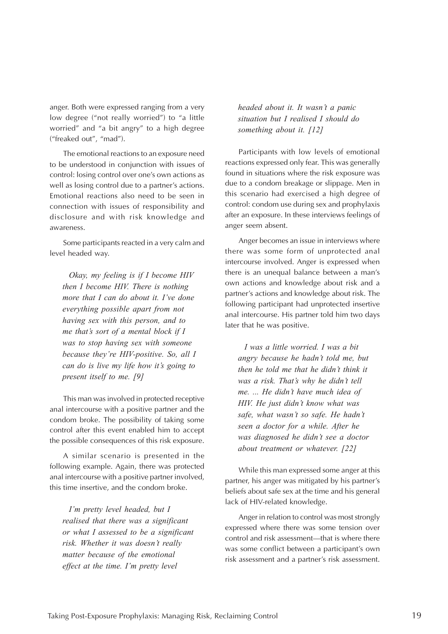anger. Both were expressed ranging from a very low degree ("not really worried") to "a little worried" and "a bit angry" to a high degree ("freaked out", "mad").

The emotional reactions to an exposure need to be understood in conjunction with issues of control: losing control over one's own actions as well as losing control due to a partner's actions. Emotional reactions also need to be seen in connection with issues of responsibility and disclosure and with risk knowledge and awareness.

Some participants reacted in a very calm and level headed way.

*Okay, my feeling is if I become HIV then I become HIV. There is nothing more that I can do about it. I've done everything possible apart from not having sex with this person, and to me that's sort of a mental block if I was to stop having sex with someone because they're HIV-positive. So, all I can do is live my life how it's going to present itself to me. [9]*

This man was involved in protected receptive anal intercourse with a positive partner and the condom broke. The possibility of taking some control after this event enabled him to accept the possible consequences of this risk exposure.

A similar scenario is presented in the following example. Again, there was protected anal intercourse with a positive partner involved, this time insertive, and the condom broke.

*I'm pretty level headed, but I realised that there was a significant or what I assessed to be a significant risk. Whether it was doesn't really matter because of the emotional effect at the time. I'm pretty level*

*headed about it. It wasn't a panic situation but I realised I should do something about it. [12]*

Participants with low levels of emotional reactions expressed only fear. This was generally found in situations where the risk exposure was due to a condom breakage or slippage. Men in this scenario had exercised a high degree of control: condom use during sex and prophylaxis after an exposure. In these interviews feelings of anger seem absent.

Anger becomes an issue in interviews where there was some form of unprotected anal intercourse involved. Anger is expressed when there is an unequal balance between a man's own actions and knowledge about risk and a partner's actions and knowledge about risk. The following participant had unprotected insertive anal intercourse. His partner told him two days later that he was positive.

*I was a little worried. I was a bit angry because he hadn't told me, but then he told me that he didn't think it was a risk. That's why he didn't tell me. ... He didn't have much idea of HIV. He just didn't know what was safe, what wasn't so safe. He hadn't seen a doctor for a while. After he was diagnosed he didn't see a doctor about treatment or whatever. [22]*

While this man expressed some anger at this partner, his anger was mitigated by his partner's beliefs about safe sex at the time and his general lack of HIV-related knowledge.

Anger in relation to control was most strongly expressed where there was some tension over control and risk assessment—that is where there was some conflict between a participant's own risk assessment and a partner's risk assessment.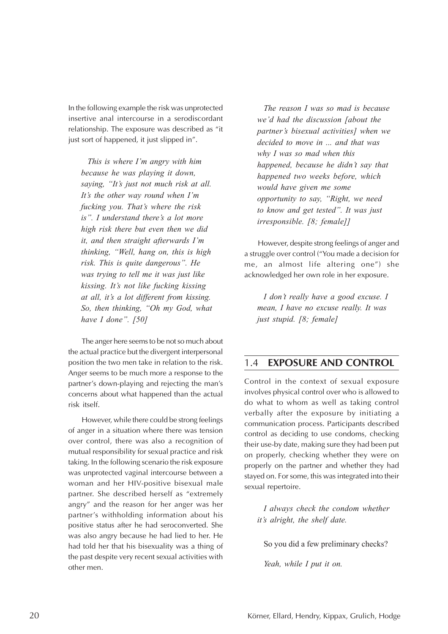<span id="page-23-0"></span>In the following example the risk was unprotected insertive anal intercourse in a serodiscordant relationship. The exposure was described as "it just sort of happened, it just slipped in".

*This is where I'm angry with him because he was playing it down, saying, "It's just not much risk at all. It's the other way round when I'm fucking you. That's where the risk is". I understand there's a lot more high risk there but even then we did it, and then straight afterwards I'm thinking, "Well, hang on, this is high risk. This is quite dangerous". He was trying to tell me it was just like kissing. It's not like fucking kissing at all, it's a lot different from kissing. So, then thinking, "Oh my God, what have I done". [50]*

The anger here seems to be not so much about the actual practice but the divergent interpersonal position the two men take in relation to the risk. Anger seems to be much more a response to the partner's down-playing and rejecting the man's concerns about what happened than the actual risk itself.

However, while there could be strong feelings of anger in a situation where there was tension over control, there was also a recognition of mutual responsibility for sexual practice and risk taking. In the following scenario the risk exposure was unprotected vaginal intercourse between a woman and her HIV-positive bisexual male partner. She described herself as "extremely angry" and the reason for her anger was her partner's withholding information about his positive status after he had seroconverted. She was also angry because he had lied to her. He had told her that his bisexuality was a thing of the past despite very recent sexual activities with other men.

*The reason I was so mad is because we'd had the discussion [about the partner's bisexual activities] when we decided to move in ... and that was why I was so mad when this happened, because he didn't say that happened two weeks before, which would have given me some opportunity to say, "Right, we need to know and get tested". It was just irresponsible. [8; female]]*

However, despite strong feelings of anger and a struggle over control ("You made a decision for me, an almost life altering one") she acknowledged her own role in her exposure.

*I don't really have a good excuse. I mean, I have no excuse really. It was just stupid. [8; female]*

#### 1.4 **EXPOSURE AND CONTROL**

Control in the context of sexual exposure involves physical control over who is allowed to do what to whom as well as taking control verbally after the exposure by initiating a communication process. Participants described control as deciding to use condoms, checking their use-by date, making sure they had been put on properly, checking whether they were on properly on the partner and whether they had stayed on. For some, this was integrated into their sexual repertoire.

*I always check the condom whether it's alright, the shelf date.*

So you did a few preliminary checks?

*Yeah, while I put it on.*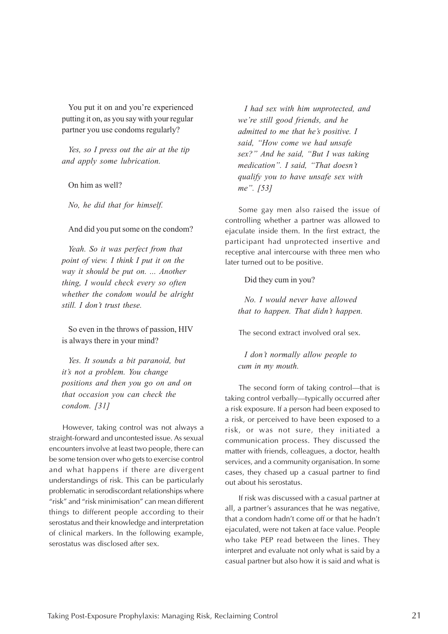You put it on and you're experienced putting it on, as you say with your regular partner you use condoms regularly?

*Yes, so I press out the air at the tip and apply some lubrication.*

On him as well?

*No, he did that for himself.*

#### And did you put some on the condom?

*Yeah. So it was perfect from that point of view. I think I put it on the way it should be put on. ... Another thing, I would check every so often whether the condom would be alright still. I don't trust these.*

So even in the throws of passion, HIV is always there in your mind?

*Yes. It sounds a bit paranoid, but it's not a problem. You change positions and then you go on and on that occasion you can check the condom. [31]*

However, taking control was not always a straight-forward and uncontested issue. As sexual encounters involve at least two people, there can be some tension over who gets to exercise control and what happens if there are divergent understandings of risk. This can be particularly problematic in serodiscordant relationships where "risk" and "risk minimisation" can mean different things to different people according to their serostatus and their knowledge and interpretation of clinical markers. In the following example, serostatus was disclosed after sex.

*I had sex with him unprotected, and we're still good friends, and he admitted to me that he's positive. I said, "How come we had unsafe sex?" And he said, "But I was taking medication". I said, "That doesn't qualify you to have unsafe sex with me". [53]*

Some gay men also raised the issue of controlling whether a partner was allowed to ejaculate inside them. In the first extract, the participant had unprotected insertive and receptive anal intercourse with three men who later turned out to be positive.

Did they cum in you?

*No. I would never have allowed that to happen. That didn't happen.*

The second extract involved oral sex.

*I don't normally allow people to cum in my mouth.*

The second form of taking control—that is taking control verbally—typically occurred after a risk exposure. If a person had been exposed to a risk, or perceived to have been exposed to a risk, or was not sure, they initiated a communication process. They discussed the matter with friends, colleagues, a doctor, health services, and a community organisation. In some cases, they chased up a casual partner to find out about his serostatus.

If risk was discussed with a casual partner at all, a partner's assurances that he was negative, that a condom hadn't come off or that he hadn't ejaculated, were not taken at face value. People who take PEP read between the lines. They interpret and evaluate not only what is said by a casual partner but also how it is said and what is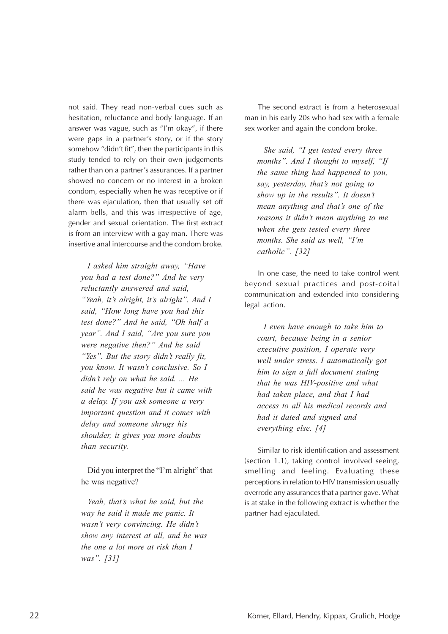not said. They read non-verbal cues such as hesitation, reluctance and body language. If an answer was vague, such as "I'm okay", if there were gaps in a partner's story, or if the story somehow "didn't fit", then the participants in this study tended to rely on their own judgements rather than on a partner's assurances. If a partner showed no concern or no interest in a broken condom, especially when he was receptive or if there was ejaculation, then that usually set off alarm bells, and this was irrespective of age, gender and sexual orientation. The first extract is from an interview with a gay man. There was insertive anal intercourse and the condom broke.

*I asked him straight away, "Have you had a test done?" And he very reluctantly answered and said, "Yeah, it's alright, it's alright". And I said, "How long have you had this test done?" And he said, "Oh half a year". And I said, "Are you sure you were negative then?" And he said "Yes". But the story didn't really fit, you know. It wasn't conclusive. So I didn't rely on what he said. ... He said he was negative but it came with a delay. If you ask someone a very important question and it comes with delay and someone shrugs his shoulder, it gives you more doubts than security.*

Did you interpret the "I'm alright" that he was negative?

*Yeah, that's what he said, but the way he said it made me panic. It wasn't very convincing. He didn't show any interest at all, and he was the one a lot more at risk than I was". [31]*

The second extract is from a heterosexual man in his early 20s who had sex with a female sex worker and again the condom broke.

*She said, "I get tested every three months". And I thought to myself, "If the same thing had happened to you, say, yesterday, that's not going to show up in the results". It doesn't mean anything and that's one of the reasons it didn't mean anything to me when she gets tested every three months. She said as well, "I'm catholic". [32]*

In one case, the need to take control went beyond sexual practices and post-coital communication and extended into considering legal action.

*I even have enough to take him to court, because being in a senior executive position, I operate very well under stress. I automatically got him to sign a full document stating that he was HIV-positive and what had taken place, and that I had access to all his medical records and had it dated and signed and everything else. [4]*

Similar to risk identification and assessment (section 1.1), taking control involved seeing, smelling and feeling. Evaluating these perceptions in relation to HIV transmission usually overrode any assurances that a partner gave. What is at stake in the following extract is whether the partner had ejaculated.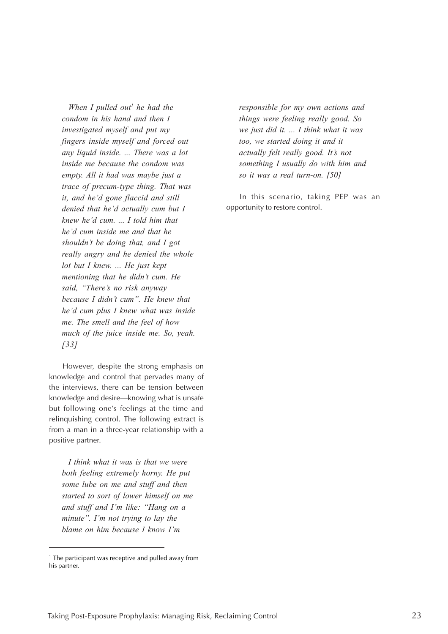*When I pulled out<sup>1</sup> he had the condom in his hand and then I investigated myself and put my fingers inside myself and forced out any liquid inside. ... There was a lot inside me because the condom was empty. All it had was maybe just a trace of precum-type thing. That was it, and he'd gone flaccid and still denied that he'd actually cum but I knew he'd cum. ... I told him that he'd cum inside me and that he shouldn't be doing that, and I got really angry and he denied the whole lot but I knew. ... He just kept mentioning that he didn't cum. He said, "There's no risk anyway because I didn't cum". He knew that he'd cum plus I knew what was inside me. The smell and the feel of how much of the juice inside me. So, yeah. [33]*

However, despite the strong emphasis on knowledge and control that pervades many of the interviews, there can be tension between knowledge and desire—knowing what is unsafe but following one's feelings at the time and relinquishing control. The following extract is from a man in a three-year relationship with a positive partner.

*I think what it was is that we were both feeling extremely horny. He put some lube on me and stuff and then started to sort of lower himself on me and stuff and I'm like: "Hang on a minute". I'm not trying to lay the blame on him because I know I'm*

*responsible for my own actions and things were feeling really good. So we just did it. ... I think what it was too, we started doing it and it actually felt really good. It's not something I usually do with him and so it was a real turn-on. [50]*

In this scenario, taking PEP was an opportunity to restore control.

 $<sup>1</sup>$  The participant was receptive and pulled away from</sup> his partner.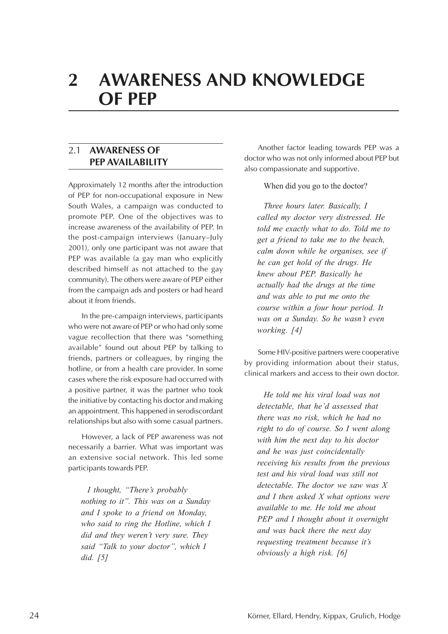<span id="page-27-0"></span>

# **2 AWARENESS AND KNOWLEDGE OF PEP**

#### 2.1 **AWARENESS OF PEP AVAILABILITY**

Approximately 12 months after the introduction of PEP for non-occupational exposure in New South Wales, a campaign was conducted to promote PEP. One of the objectives was to increase awareness of the availability of PEP. In the post-campaign interviews (January–July 2001), only one participant was not aware that PEP was available (a gay man who explicitly described himself as not attached to the gay community). The others were aware of PEP either from the campaign ads and posters or had heard about it from friends.

In the pre-campaign interviews, participants who were not aware of PEP or who had only some vague recollection that there was "something available" found out about PEP by talking to friends, partners or colleagues, by ringing the hotline, or from a health care provider. In some cases where the risk exposure had occurred with a positive partner, it was the partner who took the initiative by contacting his doctor and making an appointment. This happened in serodiscordant relationships but also with some casual partners.

However, a lack of PEP awareness was not necessarily a barrier. What was important was an extensive social network. This led some participants towards PEP.

*I thought, "There's probably nothing to it". This was on a Sunday and I spoke to a friend on Monday, who said to ring the Hotline, which I did and they weren't very sure. They said "Talk to your doctor", which I did. [5]*

Another factor leading towards PEP was a doctor who was not only informed about PEP but also compassionate and supportive.

When did you go to the doctor?

*Three hours later. Basically, I called my doctor very distressed. He told me exactly what to do. Told me to get a friend to take me to the beach, calm down while he organises, see if he can get hold of the drugs. He knew about PEP. Basically he actually had the drugs at the time and was able to put me onto the course within a four hour period. It was on a Sunday. So he wasn't even working. [4]*

Some HIV-positive partners were cooperative by providing information about their status, clinical markers and access to their own doctor.

*He told me his viral load was not detectable, that he'd assessed that there was no risk, which he had no right to do of course. So I went along with him the next day to his doctor and he was just coincidentally receiving his results from the previous test and his viral load was still not detectable. The doctor we saw was X and I then asked X what options were available to me. He told me about PEP and I thought about it overnight and was back there the next day requesting treatment because it's obviously a high risk. [6]*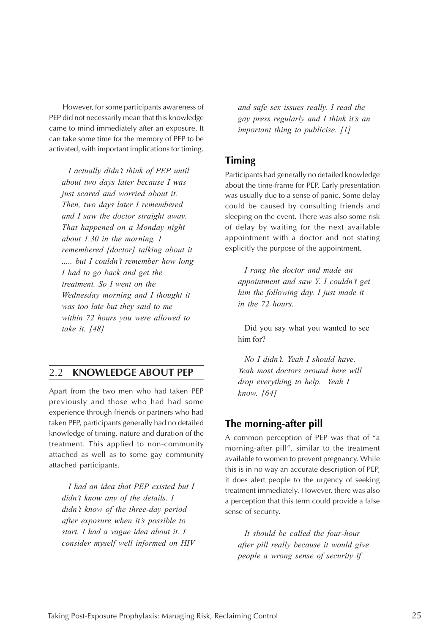<span id="page-28-0"></span>However, for some participants awareness of PEP did not necessarily mean that this knowledge came to mind immediately after an exposure. It can take some time for the memory of PEP to be activated, with important implications for timing.

*I actually didn't think of PEP until about two days later because I was just scared and worried about it. Then, two days later I remembered and I saw the doctor straight away. That happened on a Monday night about 1.30 in the morning. I remembered [doctor] talking about it ..... but I couldn't remember how long I had to go back and get the treatment. So I went on the Wednesday morning and I thought it was too late but they said to me within 72 hours you were allowed to take it. [48]*

#### 2.2 **KNOWLEDGE ABOUT PEP**

Apart from the two men who had taken PEP previously and those who had had some experience through friends or partners who had taken PEP, participants generally had no detailed knowledge of timing, nature and duration of the treatment. This applied to non-community attached as well as to some gay community attached participants.

*I had an idea that PEP existed but I didn't know any of the details. I didn't know of the three-day period after exposure when it's possible to start. I had a vague idea about it. I consider myself well informed on HIV* *and safe sex issues really. I read the gay press regularly and I think it's an important thing to publicise. [1]*

#### **Timing**

Participants had generally no detailed knowledge about the time-frame for PEP. Early presentation was usually due to a sense of panic. Some delay could be caused by consulting friends and sleeping on the event. There was also some risk of delay by waiting for the next available appointment with a doctor and not stating explicitly the purpose of the appointment.

*I rang the doctor and made an appointment and saw Y. I couldn't get him the following day. I just made it in the 72 hours.*

Did you say what you wanted to see him for?

*No I didn't. Yeah I should have. Yeah most doctors around here will drop everything to help. Yeah I know. [64]*

#### **The morning-after pill**

A common perception of PEP was that of "a morning-after pill", similar to the treatment available to women to prevent pregnancy. While this is in no way an accurate description of PEP, it does alert people to the urgency of seeking treatment immediately. However, there was also a perception that this term could provide a false sense of security.

*It should be called the four-hour after pill really because it would give people a wrong sense of security if*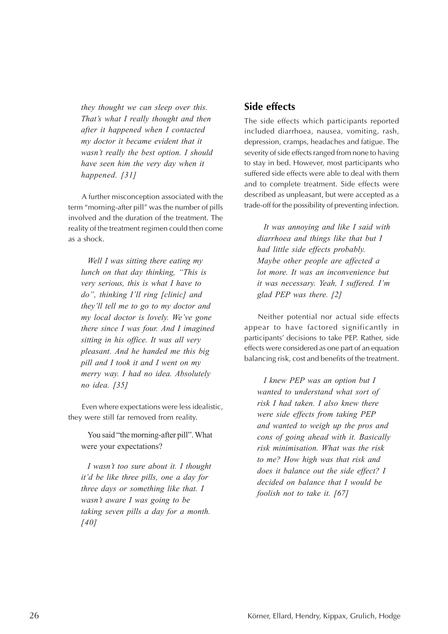<span id="page-29-0"></span>*they thought we can sleep over this. That's what I really thought and then after it happened when I contacted my doctor it became evident that it wasn't really the best option. I should have seen him the very day when it happened. [31]*

A further misconception associated with the term "morning-after pill" was the number of pills involved and the duration of the treatment. The reality of the treatment regimen could then come as a shock.

*Well I was sitting there eating my lunch on that day thinking, "This is very serious, this is what I have to do", thinking I'll ring [clinic] and they'll tell me to go to my doctor and my local doctor is lovely. We've gone there since I was four. And I imagined sitting in his office. It was all very pleasant. And he handed me this big pill and I took it and I went on my merry way. I had no idea. Absolutely no idea. [35]*

Even where expectations were less idealistic, they were still far removed from reality.

You said "the morning-after pill". What were your expectations?

*I wasn't too sure about it. I thought it'd be like three pills, one a day for three days or something like that. I wasn't aware I was going to be taking seven pills a day for a month. [40]*

#### **Side effects**

The side effects which participants reported included diarrhoea, nausea, vomiting, rash, depression, cramps, headaches and fatigue. The severity of side effects ranged from none to having to stay in bed. However, most participants who suffered side effects were able to deal with them and to complete treatment. Side effects were described as unpleasant, but were accepted as a trade-off for the possibility of preventing infection.

*It was annoying and like I said with diarrhoea and things like that but I had little side effects probably. Maybe other people are affected a lot more. It was an inconvenience but it was necessary. Yeah, I suffered. I'm glad PEP was there. [2]*

Neither potential nor actual side effects appear to have factored significantly in participants' decisions to take PEP. Rather, side effects were considered as one part of an equation balancing risk, cost and benefits of the treatment.

*I knew PEP was an option but I wanted to understand what sort of risk I had taken. I also knew there were side effects from taking PEP and wanted to weigh up the pros and cons of going ahead with it. Basically risk minimisation. What was the risk to me? How high was that risk and does it balance out the side effect? I decided on balance that I would be foolish not to take it. [67]*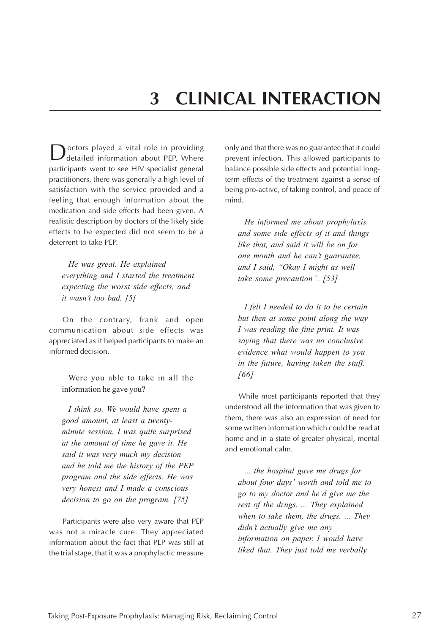# **3 CLINICAL INTERACTION**

<span id="page-30-0"></span>octors played a vital role in providing detailed information about PEP. Where participants went to see HIV specialist general practitioners, there was generally a high level of satisfaction with the service provided and a feeling that enough information about the medication and side effects had been given. A realistic description by doctors of the likely side effects to be expected did not seem to be a deterrent to take PEP.

*He was great. He explained everything and I started the treatment expecting the worst side effects, and it wasn't too bad. [5]*

On the contrary, frank and open communication about side effects was appreciated as it helped participants to make an informed decision.

Were you able to take in all the information he gave you?

*I think so. We would have spent a good amount, at least a twentyminute session. I was quite surprised at the amount of time he gave it. He said it was very much my decision and he told me the history of the PEP program and the side effects. He was very honest and I made a conscious decision to go on the program. [75]*

Participants were also very aware that PEP was not a miracle cure. They appreciated information about the fact that PEP was still at the trial stage, that it was a prophylactic measure

only and that there was no guarantee that it could prevent infection. This allowed participants to balance possible side effects and potential longterm effects of the treatment against a sense of being pro-active, of taking control, and peace of mind.

*He informed me about prophylaxis and some side effects of it and things like that, and said it will be on for one month and he can't guarantee, and I said, "Okay I might as well take some precaution". [53]*

*I felt I needed to do it to be certain but then at some point along the way I was reading the fine print. It was saying that there was no conclusive evidence what would happen to you in the future, having taken the stuff. [66]*

While most participants reported that they understood all the information that was given to them, there was also an expression of need for some written information which could be read at home and in a state of greater physical, mental and emotional calm.

*... the hospital gave me drugs for about four days' worth and told me to go to my doctor and he'd give me the rest of the drugs. ... They explained when to take them, the drugs. ... They didn't actually give me any information on paper. I would have liked that. They just told me verbally*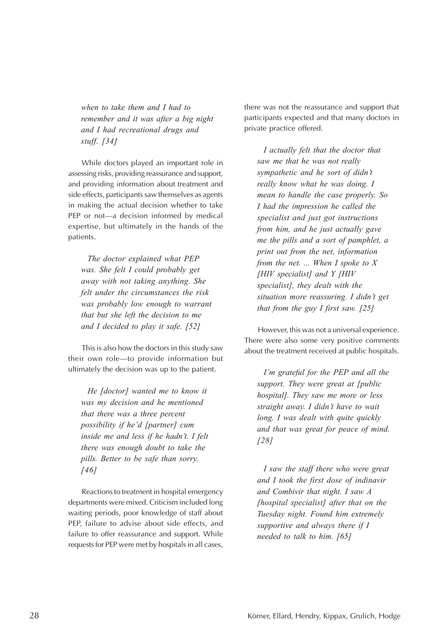*when to take them and I had to remember and it was after a big night and I had recreational drugs and stuff. [34]*

While doctors played an important role in assessing risks, providing reassurance and support, and providing information about treatment and side effects, participants saw themselves as agents in making the actual decision whether to take PEP or not—a decision informed by medical expertise, but ultimately in the hands of the patients.

*The doctor explained what PEP was. She felt I could probably get away with not taking anything. She felt under the circumstances the risk was probably low enough to warrant that but she left the decision to me and I decided to play it safe. [52]*

This is also how the doctors in this study saw their own role—to provide information but ultimately the decision was up to the patient.

*He [doctor] wanted me to know it was my decision and he mentioned that there was a three percent possibility if he'd [partner] cum inside me and less if he hadn't. I felt there was enough doubt to take the pills. Better to be safe than sorry. [46]*

Reactions to treatment in hospital emergency departments were mixed. Criticism included long waiting periods, poor knowledge of staff about PEP, failure to advise about side effects, and failure to offer reassurance and support. While requests for PEP were met by hospitals in all cases,

there was not the reassurance and support that participants expected and that many doctors in private practice offered.

*I actually felt that the doctor that saw me that he was not really sympathetic and he sort of didn't really know what he was doing. I mean to handle the case properly. So I had the impression he called the specialist and just got instructions from him, and he just actually gave me the pills and a sort of pamphlet, a print out from the net, information from the net. ... When I spoke to X [HIV specialist] and Y [HIV specialist], they dealt with the situation more reassuring. I didn't get that from the guy I first saw. [25]*

However, this was not a universal experience. There were also some very positive comments about the treatment received at public hospitals.

*I'm grateful for the PEP and all the support. They were great at [public hospital]. They saw me more or less straight away. I didn't have to wait long. I was dealt with quite quickly and that was great for peace of mind. [28]*

*I saw the staff there who were great and I took the first dose of indinavir and Combivir that night. I saw A [hospital specialist] after that on the Tuesday night. Found him extremely supportive and always there if I needed to talk to him. [65]*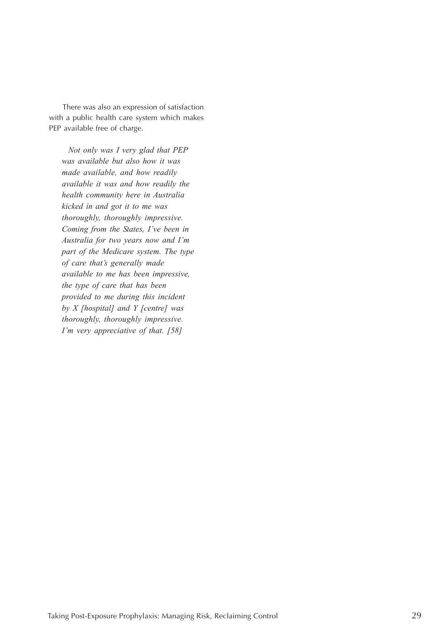There was also an expression of satisfaction with a public health care system which makes PEP available free of charge.

*Not only was I very glad that PEP was available but also how it was made available, and how readily available it was and how readily the health community here in Australia kicked in and got it to me was thoroughly, thoroughly impressive. Coming from the States, I've been in Australia for two years now and I'm part of the Medicare system. The type of care that's generally made available to me has been impressive, the type of care that has been provided to me during this incident by X [hospital] and Y [centre] was thoroughly, thoroughly impressive. I'm very appreciative of that. [58]*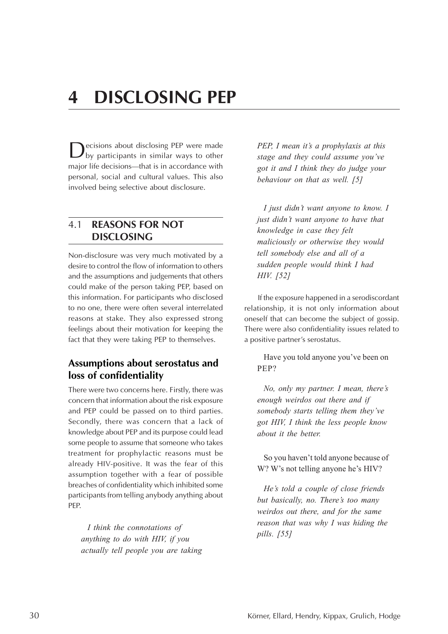# <span id="page-33-0"></span>**4 DISCLOSING PEP**

**D**ecisions about disclosing PEP were made<br>by participants in similar ways to other major life decisions—that is in accordance with personal, social and cultural values. This also involved being selective about disclosure.

#### 4.1 **REASONS FOR NOT DISCLOSING**

Non-disclosure was very much motivated by a desire to control the flow of information to others and the assumptions and judgements that others could make of the person taking PEP, based on this information. For participants who disclosed to no one, there were often several interrelated reasons at stake. They also expressed strong feelings about their motivation for keeping the fact that they were taking PEP to themselves.

### **Assumptions about serostatus and loss of confidentiality**

There were two concerns here. Firstly, there was concern that information about the risk exposure and PEP could be passed on to third parties. Secondly, there was concern that a lack of knowledge about PEP and its purpose could lead some people to assume that someone who takes treatment for prophylactic reasons must be already HIV-positive. It was the fear of this assumption together with a fear of possible breaches of confidentiality which inhibited some participants from telling anybody anything about PEP.

*I think the connotations of anything to do with HIV, if you actually tell people you are taking* *PEP, I mean it's a prophylaxis at this stage and they could assume you've got it and I think they do judge your behaviour on that as well. [5]*

*I just didn't want anyone to know. I just didn't want anyone to have that knowledge in case they felt maliciously or otherwise they would tell somebody else and all of a sudden people would think I had HIV. [52]*

If the exposure happened in a serodiscordant relationship, it is not only information about oneself that can become the subject of gossip. There were also confidentiality issues related to a positive partner's serostatus.

Have you told anyone you've been on PEP?

*No, only my partner. I mean, there's enough weirdos out there and if somebody starts telling them they've got HIV, I think the less people know about it the better.*

So you haven't told anyone because of W? W's not telling anyone he's HIV?

*He's told a couple of close friends but basically, no. There's too many weirdos out there, and for the same reason that was why I was hiding the pills. [55]*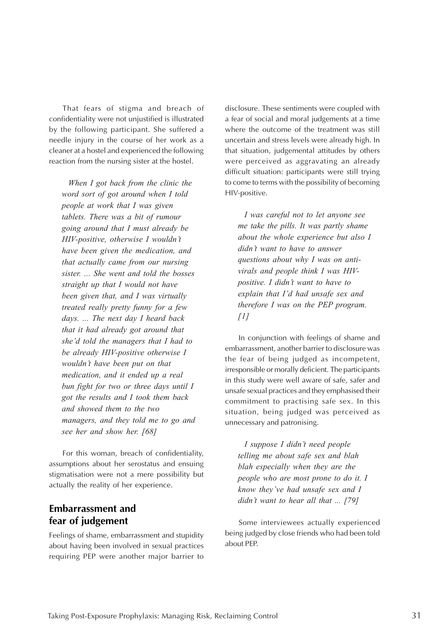<span id="page-34-0"></span>That fears of stigma and breach of confidentiality were not unjustified is illustrated by the following participant. She suffered a needle injury in the course of her work as a cleaner at a hostel and experienced the following reaction from the nursing sister at the hostel.

*When I got back from the clinic the word sort of got around when I told people at work that I was given tablets. There was a bit of rumour going around that I must already be HIV-positive, otherwise I wouldn't have been given the medication, and that actually came from our nursing sister. ... She went and told the bosses straight up that I would not have been given that, and I was virtually treated really pretty funny for a few days. ... The next day I heard back that it had already got around that she'd told the managers that I had to be already HIV-positive otherwise I wouldn't have been put on that medication, and it ended up a real bun fight for two or three days until I got the results and I took them back and showed them to the two managers, and they told me to go and see her and show her. [68]*

For this woman, breach of confidentiality, assumptions about her serostatus and ensuing stigmatisation were not a mere possibility but actually the reality of her experience.

### **Embarrassment and fear of judgement**

Feelings of shame, embarrassment and stupidity about having been involved in sexual practices requiring PEP were another major barrier to disclosure. These sentiments were coupled with a fear of social and moral judgements at a time where the outcome of the treatment was still uncertain and stress levels were already high. In that situation, judgemental attitudes by others were perceived as aggravating an already difficult situation: participants were still trying to come to terms with the possibility of becoming HIV-positive.

*I was careful not to let anyone see me take the pills. It was partly shame about the whole experience but also I didn't want to have to answer questions about why I was on antivirals and people think I was HIVpositive. I didn't want to have to explain that I'd had unsafe sex and therefore I was on the PEP program. [1]*

In conjunction with feelings of shame and embarrassment, another barrier to disclosure was the fear of being judged as incompetent, irresponsible or morally deficient. The participants in this study were well aware of safe, safer and unsafe sexual practices and they emphasised their commitment to practising safe sex. In this situation, being judged was perceived as unnecessary and patronising.

*I suppose I didn't need people telling me about safe sex and blah blah especially when they are the people who are most prone to do it. I know they've had unsafe sex and I didn't want to hear all that ... [79]*

Some interviewees actually experienced being judged by close friends who had been told about PEP.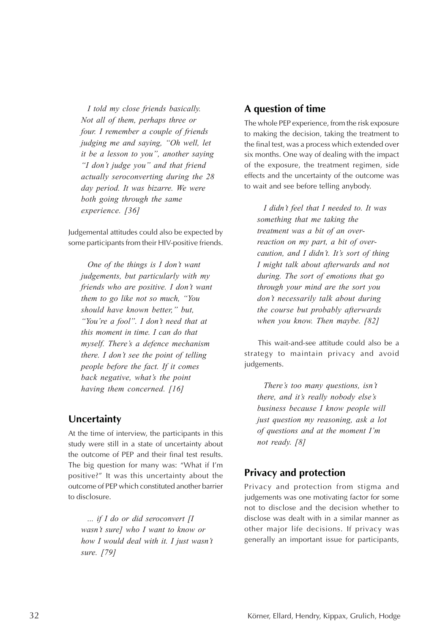<span id="page-35-0"></span>*I told my close friends basically. Not all of them, perhaps three or four. I remember a couple of friends judging me and saying, "Oh well, let it be a lesson to you", another saying "I don't judge you" and that friend actually seroconverting during the 28 day period. It was bizarre. We were both going through the same experience. [36]*

Judgemental attitudes could also be expected by some participants from their HIV-positive friends.

*One of the things is I don't want judgements, but particularly with my friends who are positive. I don't want them to go like not so much, "You should have known better," but, "You're a fool". I don't need that at this moment in time. I can do that myself. There's a defence mechanism there. I don't see the point of telling people before the fact. If it comes back negative, what's the point having them concerned. [16]*

#### **Uncertainty**

At the time of interview, the participants in this study were still in a state of uncertainty about the outcome of PEP and their final test results. The big question for many was: "What if I'm positive?" It was this uncertainty about the outcome of PEP which constituted another barrier to disclosure.

*... if I do or did seroconvert [I wasn't sure] who I want to know or how I would deal with it. I just wasn't sure. [79]*

### **A question of time**

The whole PEP experience, from the risk exposure to making the decision, taking the treatment to the final test, was a process which extended over six months. One way of dealing with the impact of the exposure, the treatment regimen, side effects and the uncertainty of the outcome was to wait and see before telling anybody.

*I didn't feel that I needed to. It was something that me taking the treatment was a bit of an overreaction on my part, a bit of overcaution, and I didn't. It's sort of thing I might talk about afterwards and not during. The sort of emotions that go through your mind are the sort you don't necessarily talk about during the course but probably afterwards when you know. Then maybe. [82]*

This wait-and-see attitude could also be a strategy to maintain privacy and avoid judgements.

*There's too many questions, isn't there, and it's really nobody else's business because I know people will just question my reasoning, ask a lot of questions and at the moment I'm not ready. [8]*

### **Privacy and protection**

Privacy and protection from stigma and judgements was one motivating factor for some not to disclose and the decision whether to disclose was dealt with in a similar manner as other major life decisions. If privacy was generally an important issue for participants,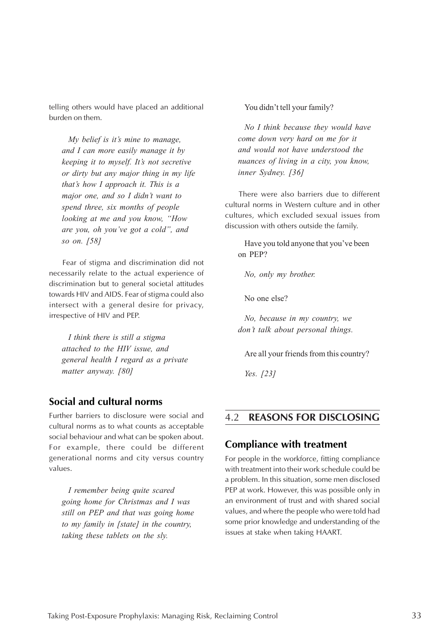<span id="page-36-0"></span>telling others would have placed an additional burden on them.

*My belief is it's mine to manage, and I can more easily manage it by keeping it to myself. It's not secretive or dirty but any major thing in my life that's how I approach it. This is a major one, and so I didn't want to spend three, six months of people looking at me and you know, "How are you, oh you've got a cold", and so on. [58]*

Fear of stigma and discrimination did not necessarily relate to the actual experience of discrimination but to general societal attitudes towards HIV and AIDS. Fear of stigma could also intersect with a general desire for privacy, irrespective of HIV and PEP.

*I think there is still a stigma attached to the HIV issue, and general health I regard as a private matter anyway. [80]*

### **Social and cultural norms**

Further barriers to disclosure were social and cultural norms as to what counts as acceptable social behaviour and what can be spoken about. For example, there could be different generational norms and city versus country values.

*I remember being quite scared going home for Christmas and I was still on PEP and that was going home to my family in [state] in the country, taking these tablets on the sly.*

You didn't tell your family?

*No I think because they would have come down very hard on me for it and would not have understood the nuances of living in a city, you know, inner Sydney. [36]*

There were also barriers due to different cultural norms in Western culture and in other cultures, which excluded sexual issues from discussion with others outside the family.

Have you told anyone that you've been on PEP?

*No, only my brother.*

No one else?

*No, because in my country, we don't talk about personal things.*

Are all your friends from this country?

*Yes. [23]*

#### 4.2 **REASONS FOR DISCLOSING**

#### **Compliance with treatment**

For people in the workforce, fitting compliance with treatment into their work schedule could be a problem. In this situation, some men disclosed PEP at work. However, this was possible only in an environment of trust and with shared social values, and where the people who were told had some prior knowledge and understanding of the issues at stake when taking HAART.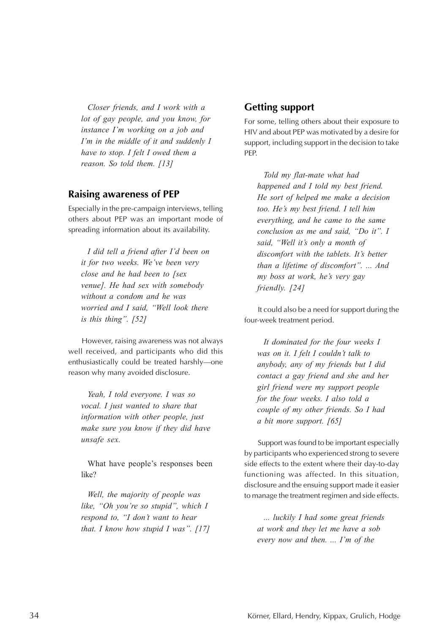<span id="page-37-0"></span>*Closer friends, and I work with a lot of gay people, and you know, for instance I'm working on a job and I'm in the middle of it and suddenly I have to stop. I felt I owed them a reason. So told them. [13]*

#### **Raising awareness of PEP**

Especially in the pre-campaign interviews, telling others about PEP was an important mode of spreading information about its availability.

*I did tell a friend after I'd been on it for two weeks. We've been very close and he had been to [sex venue]. He had sex with somebody without a condom and he was worried and I said, "Well look there is this thing". [52]*

However, raising awareness was not always well received, and participants who did this enthusiastically could be treated harshly—one reason why many avoided disclosure.

*Yeah, I told everyone. I was so vocal. I just wanted to share that information with other people, just make sure you know if they did have unsafe sex.*

What have people's responses been like?

*Well, the majority of people was like, "Oh you're so stupid", which I respond to, "I don't want to hear that. I know how stupid I was". [17]*

#### **Getting support**

For some, telling others about their exposure to HIV and about PEP was motivated by a desire for support, including support in the decision to take PEP.

*Told my flat-mate what had happened and I told my best friend. He sort of helped me make a decision too. He's my best friend. I tell him everything, and he came to the same conclusion as me and said, "Do it". I said, "Well it's only a month of discomfort with the tablets. It's better than a lifetime of discomfort". ... And my boss at work, he's very gay friendly. [24]*

It could also be a need for support during the four-week treatment period.

*It dominated for the four weeks I was on it. I felt I couldn't talk to anybody, any of my friends but I did contact a gay friend and she and her girl friend were my support people for the four weeks. I also told a couple of my other friends. So I had a bit more support. [65]*

Support was found to be important especially by participants who experienced strong to severe side effects to the extent where their day-to-day functioning was affected. In this situation, disclosure and the ensuing support made it easier to manage the treatment regimen and side effects.

*... luckily I had some great friends at work and they let me have a sob every now and then. ... I'm of the*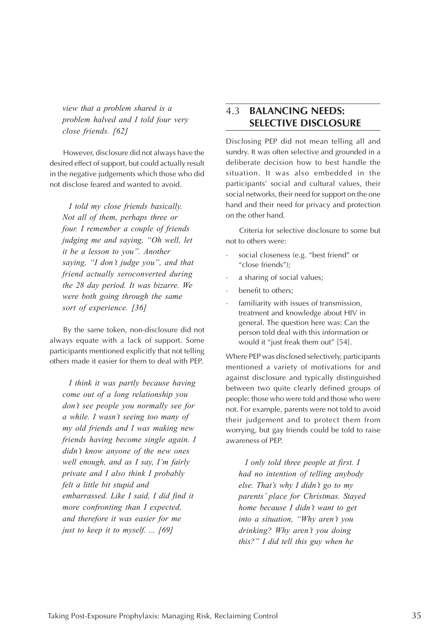<span id="page-38-0"></span>*view that a problem shared is a problem halved and I told four very close friends. [62]*

However, disclosure did not always have the desired effect of support, but could actually result in the negative judgements which those who did not disclose feared and wanted to avoid.

*I told my close friends basically. Not all of them, perhaps three or four. I remember a couple of friends judging me and saying, "Oh well, let it be a lesson to you". Another saying, "I don't judge you", and that friend actually seroconverted during the 28 day period. It was bizarre. We were both going through the same sort of experience. [36]*

By the same token, non-disclosure did not always equate with a lack of support. Some participants mentioned explicitly that not telling others made it easier for them to deal with PEP.

*I think it was partly because having come out of a long relationship you don't see people you normally see for a while. I wasn't seeing too many of my old friends and I was making new friends having become single again. I didn't know anyone of the new ones well enough, and as I say, I'm fairly private and I also think I probably felt a little bit stupid and embarrassed. Like I said, I did find it more confronting than I expected, and therefore it was easier for me just to keep it to myself. ... [69]*

### 4.3 **BALANCING NEEDS: SELECTIVE DISCLOSURE**

Disclosing PEP did not mean telling all and sundry. It was often selective and grounded in a deliberate decision how to best handle the situation. It was also embedded in the participants' social and cultural values, their social networks, their need for support on the one hand and their need for privacy and protection on the other hand.

Criteria for selective disclosure to some but not to others were:

- social closeness (e.g. "best friend" or "close friends");
- a sharing of social values;
- benefit to others;
- familiarity with issues of transmission, treatment and knowledge about HIV in general. The question here was: Can the person told deal with this information or would it "just freak them out" [54].

Where PEP was disclosed selectively, participants mentioned a variety of motivations for and against disclosure and typically distinguished between two quite clearly defined groups of people: those who were told and those who were not. For example, parents were not told to avoid their judgement and to protect them from worrying, but gay friends could be told to raise awareness of PEP.

*I only told three people at first. I had no intention of telling anybody else. That's why I didn't go to my parents' place for Christmas. Stayed home because I didn't want to get into a situation, "Why aren't you drinking? Why aren't you doing this?" I did tell this guy when he*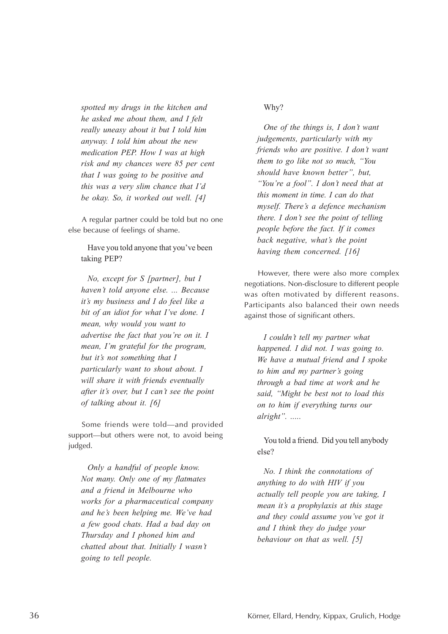*spotted my drugs in the kitchen and he asked me about them, and I felt really uneasy about it but I told him anyway. I told him about the new medication PEP. How I was at high risk and my chances were 85 per cent that I was going to be positive and this was a very slim chance that I'd be okay. So, it worked out well. [4]*

A regular partner could be told but no one else because of feelings of shame.

Have you told anyone that you've been taking PEP?

*No, except for S [partner], but I haven't told anyone else. ... Because it's my business and I do feel like a bit of an idiot for what I've done. I mean, why would you want to advertise the fact that you're on it. I mean, I'm grateful for the program, but it's not something that I particularly want to shout about. I will share it with friends eventually after it's over, but I can't see the point of talking about it. [6]*

Some friends were told—and provided support—but others were not, to avoid being judged.

*Only a handful of people know. Not many. Only one of my flatmates and a friend in Melbourne who works for a pharmaceutical company and he's been helping me. We've had a few good chats. Had a bad day on Thursday and I phoned him and chatted about that. Initially I wasn't going to tell people.*

#### Why?

*One of the things is, I don't want judgements, particularly with my friends who are positive. I don't want them to go like not so much, "You should have known better", but, "You're a fool". I don't need that at this moment in time. I can do that myself. There's a defence mechanism there. I don't see the point of telling people before the fact. If it comes back negative, what's the point having them concerned. [16]*

However, there were also more complex negotiations. Non-disclosure to different people was often motivated by different reasons. Participants also balanced their own needs against those of significant others.

*I couldn't tell my partner what happened. I did not. I was going to. We have a mutual friend and I spoke to him and my partner's going through a bad time at work and he said, "Might be best not to load this on to him if everything turns our alright". .....*

You told a friend. Did you tell anybody else?

*No. I think the connotations of anything to do with HIV if you actually tell people you are taking, I mean it's a prophylaxis at this stage and they could assume you've got it and I think they do judge your behaviour on that as well. [5]*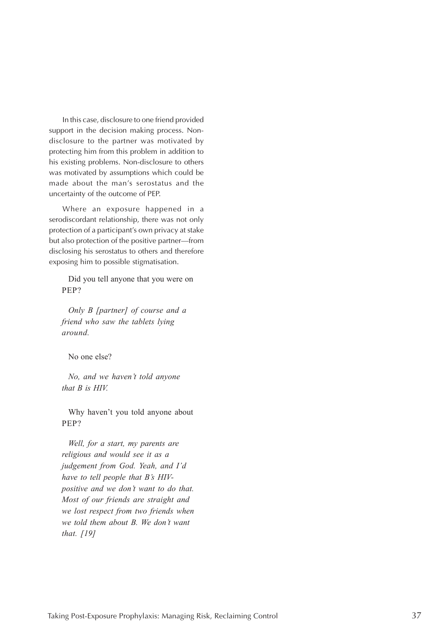In this case, disclosure to one friend provided support in the decision making process. Nondisclosure to the partner was motivated by protecting him from this problem in addition to his existing problems. Non-disclosure to others was motivated by assumptions which could be made about the man's serostatus and the uncertainty of the outcome of PEP.

Where an exposure happened in a serodiscordant relationship, there was not only protection of a participant's own privacy at stake but also protection of the positive partner—from disclosing his serostatus to others and therefore exposing him to possible stigmatisation.

Did you tell anyone that you were on PEP?

*Only B [partner] of course and a friend who saw the tablets lying around.*

No one else?

*No, and we haven't told anyone that B is HIV.*

Why haven't you told anyone about PEP?

*Well, for a start, my parents are religious and would see it as a judgement from God. Yeah, and I'd have to tell people that B's HIVpositive and we don't want to do that. Most of our friends are straight and we lost respect from two friends when we told them about B. We don't want that. [19]*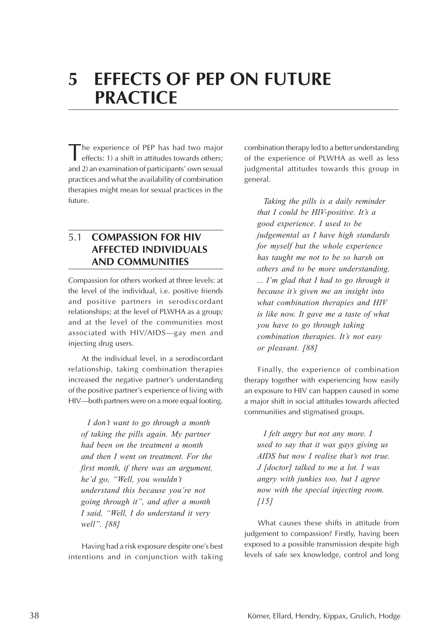# <span id="page-41-0"></span>**5 EFFECTS OF PEP ON FUTURE PRACTICE**

The experience of PEP has had two major effects: 1) a shift in attitudes towards others; and 2) an examination of participants' own sexual practices and what the availability of combination therapies might mean for sexual practices in the future.

### 5.1 **COMPASSION FOR HIV AFFECTED INDIVIDUALS AND COMMUNITIES**

Compassion for others worked at three levels: at the level of the individual, i.e. positive friends and positive partners in serodiscordant relationships; at the level of PLWHA as a group; and at the level of the communities most associated with HIV/AIDS—gay men and injecting drug users.

At the individual level, in a serodiscordant relationship, taking combination therapies increased the negative partner's understanding of the positive partner's experience of living with HIV—both partners were on a more equal footing.

*I don't want to go through a month of taking the pills again. My partner had been on the treatment a month and then I went on treatment. For the first month, if there was an argument, he'd go, "Well, you wouldn't understand this because you're not going through it", and after a month I said, "Well, I do understand it very well". [88]*

Having had a risk exposure despite one's best intentions and in conjunction with taking

combination therapy led to a better understanding of the experience of PLWHA as well as less judgmental attitudes towards this group in general.

*Taking the pills is a daily reminder that I could be HIV-positive. It's a good experience. I used to be judgemental as I have high standards for myself but the whole experience has taught me not to be so harsh on others and to be more understanding. ... I'm glad that I had to go through it because it's given me an insight into what combination therapies and HIV is like now. It gave me a taste of what you have to go through taking combination therapies. It's not easy or pleasant. [88]*

Finally, the experience of combination therapy together with experiencing how easily an exposure to HIV can happen caused in some a major shift in social attitudes towards affected communities and stigmatised groups.

*I felt angry but not any more. I used to say that it was gays giving us AIDS but now I realise that's not true. J [doctor] talked to me a lot. I was angry with junkies too, but I agree now with the special injecting room. [15]*

What causes these shifts in attitude from judgement to compassion? Firstly, having been exposed to a possible transmission despite high levels of safe sex knowledge, control and long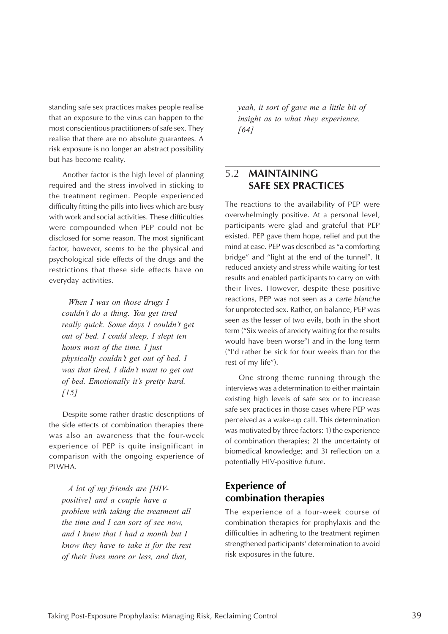<span id="page-42-0"></span>standing safe sex practices makes people realise that an exposure to the virus can happen to the most conscientious practitioners of safe sex. They realise that there are no absolute guarantees. A risk exposure is no longer an abstract possibility but has become reality.

Another factor is the high level of planning required and the stress involved in sticking to the treatment regimen. People experienced difficulty fitting the pills into lives which are busy with work and social activities. These difficulties were compounded when PEP could not be disclosed for some reason. The most significant factor, however, seems to be the physical and psychological side effects of the drugs and the restrictions that these side effects have on everyday activities.

*When I was on those drugs I couldn't do a thing. You get tired really quick. Some days I couldn't get out of bed. I could sleep, I slept ten hours most of the time. I just physically couldn't get out of bed. I was that tired, I didn't want to get out of bed. Emotionally it's pretty hard. [15]*

Despite some rather drastic descriptions of the side effects of combination therapies there was also an awareness that the four-week experience of PEP is quite insignificant in comparison with the ongoing experience of PLWHA.

*A lot of my friends are [HIVpositive] and a couple have a problem with taking the treatment all the time and I can sort of see now, and I knew that I had a month but I know they have to take it for the rest of their lives more or less, and that,*

*yeah, it sort of gave me a little bit of insight as to what they experience. [64]*

### 5.2 **MAINTAINING SAFE SEX PRACTICES**

The reactions to the availability of PEP were overwhelmingly positive. At a personal level, participants were glad and grateful that PEP existed. PEP gave them hope, relief and put the mind at ease. PEP was described as "a comforting bridge" and "light at the end of the tunnel". It reduced anxiety and stress while waiting for test results and enabled participants to carry on with their lives. However, despite these positive reactions, PEP was not seen as a carte blanche for unprotected sex. Rather, on balance, PEP was seen as the lesser of two evils, both in the short term ("Six weeks of anxiety waiting for the results would have been worse") and in the long term ("I'd rather be sick for four weeks than for the rest of my life").

One strong theme running through the interviews was a determination to either maintain existing high levels of safe sex or to increase safe sex practices in those cases where PEP was perceived as a wake-up call. This determination was motivated by three factors: 1) the experience of combination therapies; 2) the uncertainty of biomedical knowledge; and 3) reflection on a potentially HIV-positive future.

### **Experience of combination therapies**

The experience of a four-week course of combination therapies for prophylaxis and the difficulties in adhering to the treatment regimen strengthened participants' determination to avoid risk exposures in the future.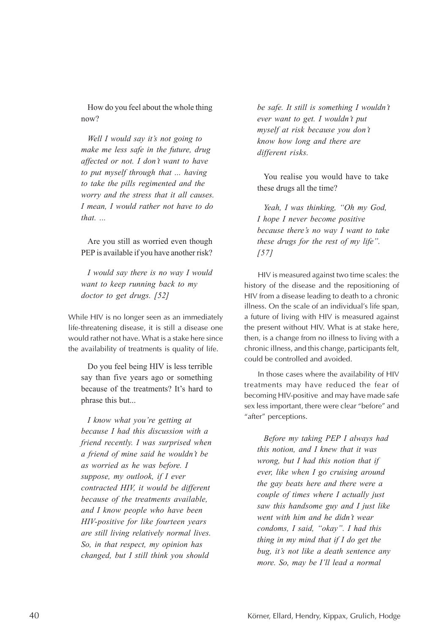How do you feel about the whole thing now?

*Well I would say it's not going to make me less safe in the future, drug affected or not. I don't want to have to put myself through that ... having to take the pills regimented and the worry and the stress that it all causes. I mean, I would rather not have to do that. ...*

Are you still as worried even though PEP is available if you have another risk?

*I would say there is no way I would want to keep running back to my doctor to get drugs. [52]*

While HIV is no longer seen as an immediately life-threatening disease, it is still a disease one would rather not have. What is a stake here since the availability of treatments is quality of life.

Do you feel being HIV is less terrible say than five years ago or something because of the treatments? It's hard to phrase this but...

*I know what you're getting at because I had this discussion with a friend recently. I was surprised when a friend of mine said he wouldn't be as worried as he was before. I suppose, my outlook, if I ever contracted HIV, it would be different because of the treatments available, and I know people who have been HIV-positive for like fourteen years are still living relatively normal lives. So, in that respect, my opinion has changed, but I still think you should*

*be safe. It still is something I wouldn't ever want to get. I wouldn't put myself at risk because you don't know how long and there are different risks.*

You realise you would have to take these drugs all the time?

*Yeah, I was thinking, "Oh my God, I hope I never become positive because there's no way I want to take these drugs for the rest of my life". [57]*

HIV is measured against two time scales: the history of the disease and the repositioning of HIV from a disease leading to death to a chronic illness. On the scale of an individual's life span, a future of living with HIV is measured against the present without HIV. What is at stake here, then, is a change from no illness to living with a chronic illness, and this change, participants felt, could be controlled and avoided.

In those cases where the availability of HIV treatments may have reduced the fear of becoming HIV-positive and may have made safe sex less important, there were clear "before" and "after" perceptions.

*Before my taking PEP I always had this notion, and I knew that it was wrong, but I had this notion that if ever, like when I go cruising around the gay beats here and there were a couple of times where I actually just saw this handsome guy and I just like went with him and he didn't wear condoms, I said, "okay". I had this thing in my mind that if I do get the bug, it's not like a death sentence any more. So, may be I'll lead a normal*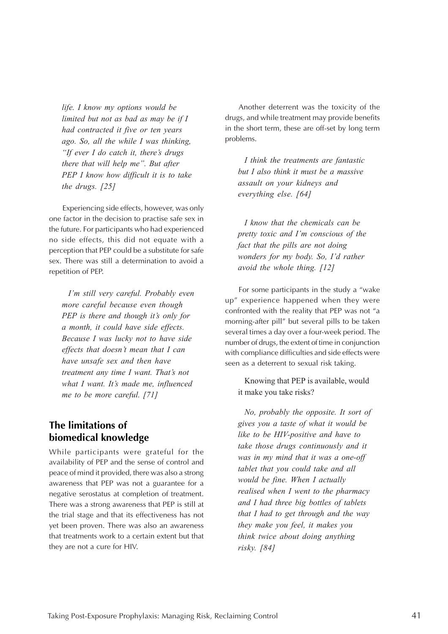<span id="page-44-0"></span>*life. I know my options would be limited but not as bad as may be if I had contracted it five or ten years ago. So, all the while I was thinking, "If ever I do catch it, there's drugs there that will help me". But after PEP I know how difficult it is to take the drugs. [25]*

Experiencing side effects, however, was only one factor in the decision to practise safe sex in the future. For participants who had experienced no side effects, this did not equate with a perception that PEP could be a substitute for safe sex. There was still a determination to avoid a repetition of PEP.

*I'm still very careful. Probably even more careful because even though PEP is there and though it's only for a month, it could have side effects. Because I was lucky not to have side effects that doesn't mean that I can have unsafe sex and then have treatment any time I want. That's not what I want. It's made me, influenced me to be more careful. [71]*

### **The limitations of biomedical knowledge**

While participants were grateful for the availability of PEP and the sense of control and peace of mind it provided, there was also a strong awareness that PEP was not a guarantee for a negative serostatus at completion of treatment. There was a strong awareness that PEP is still at the trial stage and that its effectiveness has not yet been proven. There was also an awareness that treatments work to a certain extent but that they are not a cure for HIV.

Another deterrent was the toxicity of the drugs, and while treatment may provide benefits in the short term, these are off-set by long term problems.

*I think the treatments are fantastic but I also think it must be a massive assault on your kidneys and everything else. [64]*

*I know that the chemicals can be pretty toxic and I'm conscious of the fact that the pills are not doing wonders for my body. So, I'd rather avoid the whole thing. [12]*

For some participants in the study a "wake up" experience happened when they were confronted with the reality that PEP was not "a morning-after pill" but several pills to be taken several times a day over a four-week period. The number of drugs, the extent of time in conjunction with compliance difficulties and side effects were seen as a deterrent to sexual risk taking.

Knowing that PEP is available, would it make you take risks?

*No, probably the opposite. It sort of gives you a taste of what it would be like to be HIV-positive and have to take those drugs continuously and it was in my mind that it was a one-off tablet that you could take and all would be fine. When I actually realised when I went to the pharmacy and I had three big bottles of tablets that I had to get through and the way they make you feel, it makes you think twice about doing anything risky. [84]*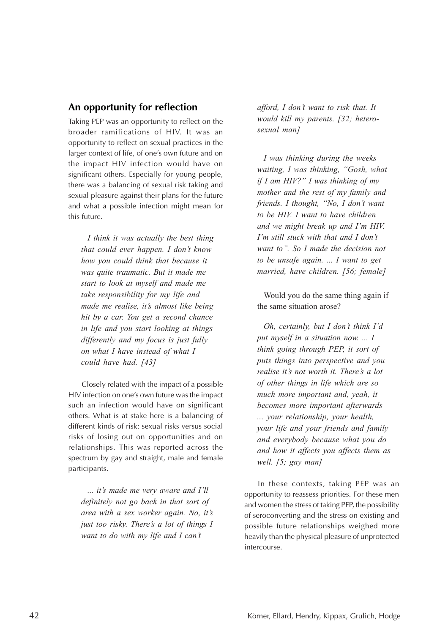#### <span id="page-45-0"></span>**An opportunity for reflection**

Taking PEP was an opportunity to reflect on the broader ramifications of HIV. It was an opportunity to reflect on sexual practices in the larger context of life, of one's own future and on the impact HIV infection would have on significant others. Especially for young people, there was a balancing of sexual risk taking and sexual pleasure against their plans for the future and what a possible infection might mean for this future.

*I think it was actually the best thing that could ever happen. I don't know how you could think that because it was quite traumatic. But it made me start to look at myself and made me take responsibility for my life and made me realise, it's almost like being hit by a car. You get a second chance in life and you start looking at things differently and my focus is just fully on what I have instead of what I could have had. [43]*

Closely related with the impact of a possible HIV infection on one's own future was the impact such an infection would have on significant others. What is at stake here is a balancing of different kinds of risk: sexual risks versus social risks of losing out on opportunities and on relationships. This was reported across the spectrum by gay and straight, male and female participants.

*... it's made me very aware and I'll definitely not go back in that sort of area with a sex worker again. No, it's just too risky. There's a lot of things I want to do with my life and I can't*

*afford, I don't want to risk that. It would kill my parents. [32; heterosexual man]*

*I was thinking during the weeks waiting, I was thinking, "Gosh, what if I am HIV?" I was thinking of my mother and the rest of my family and friends. I thought, "No, I don't want to be HIV. I want to have children and we might break up and I'm HIV. I'm still stuck with that and I don't want to". So I made the decision not to be unsafe again. ... I want to get married, have children. [56; female]*

Would you do the same thing again if the same situation arose?

*Oh, certainly, but I don't think I'd put myself in a situation now. ... I think going through PEP, it sort of puts things into perspective and you realise it's not worth it. There's a lot of other things in life which are so much more important and, yeah, it becomes more important afterwards ... your relationship, your health, your life and your friends and family and everybody because what you do and how it affects you affects them as well. [5; gay man]*

In these contexts, taking PEP was an opportunity to reassess priorities. For these men and women the stress of taking PEP, the possibility of seroconverting and the stress on existing and possible future relationships weighed more heavily than the physical pleasure of unprotected intercourse.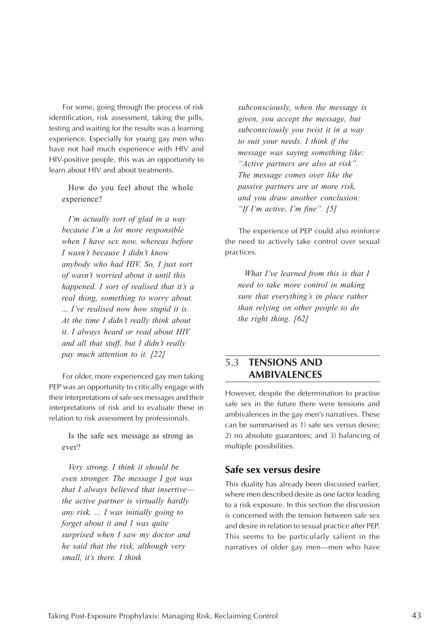<span id="page-46-0"></span>For some, going through the process of risk identification, risk assessment, taking the pills, testing and waiting for the results was a learning experience. Especially for young gay men who have not had much experience with HIV and HIV-positive people, this was an opportunity to learn about HIV and about treatments.

How do you feel about the whole experience?

*I'm actually sort of glad in a way because I'm a lot more responsible when I have sex now, whereas before I wasn't because I didn't know anybody who had HIV. So, I just sort of wasn't worried about it until this happened. I sort of realised that it's a real thing, something to worry about. ... I've realised now how stupid it is. At the time I didn't really think about it. I always heard or read about HIV and all that stuff, but I didn't really pay much attention to it. [22]*

For older, more experienced gay men taking PEP was an opportunity to critically engage with their interpretations of safe sex messages and their interpretations of risk and to evaluate these in relation to risk assessment by professionals.

Is the safe sex message as strong as ever?

*Very strong. I think it should be even stronger. The message I got was that I always believed that insertive the active partner is virtually hardly any risk. ... I was initially going to forget about it and I was quite surprised when I saw my doctor and he said that the risk, although very small, it's there. I think*

*subconsciously, when the message is given, you accept the message, but subconsciously you twist it in a way to suit your needs. I think if the message was saying something like: "Active partners are also at risk". The message comes over like the passive partners are at more risk, and you draw another conclusion: "If I'm active, I'm fine". [5]*

The experience of PEP could also reinforce the need to actively take control over sexual practices.

*What I've learned from this is that I need to take more control in making sure that everything's in place rather than relying on other people to do the right thing. [62]*

#### 5.3 **TENSIONS AND AMBIVALENCES**

However, despite the determination to practise safe sex in the future there were tensions and ambivalences in the gay men's narratives. These can be summarised as 1) safe sex versus desire; 2) no absolute guarantees; and 3) balancing of multiple possibilities.

#### **Safe sex versus desire**

This duality has already been discussed earlier, where men described desire as one factor leading to a risk exposure. In this section the discussion is concerned with the tension between safe sex and desire in relation to sexual practice after PEP. This seems to be particularly salient in the narratives of older gay men—men who have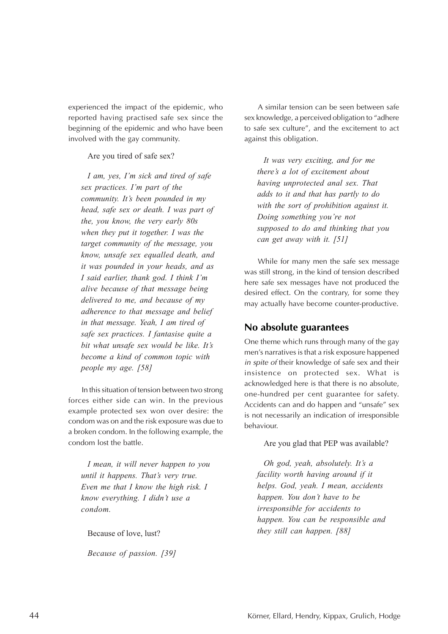<span id="page-47-0"></span>experienced the impact of the epidemic, who reported having practised safe sex since the beginning of the epidemic and who have been involved with the gay community.

Are you tired of safe sex?

*I am, yes, I'm sick and tired of safe sex practices. I'm part of the community. It's been pounded in my head, safe sex or death. I was part of the, you know, the very early 80s when they put it together. I was the target community of the message, you know, unsafe sex equalled death, and it was pounded in your heads, and as I said earlier, thank god. I think I'm alive because of that message being delivered to me, and because of my adherence to that message and belief in that message. Yeah, I am tired of safe sex practices. I fantasise quite a bit what unsafe sex would be like. It's become a kind of common topic with people my age. [58]*

In this situation of tension between two strong forces either side can win. In the previous example protected sex won over desire: the condom was on and the risk exposure was due to a broken condom. In the following example, the condom lost the battle.

*I mean, it will never happen to you until it happens. That's very true. Even me that I know the high risk. I know everything. I didn't use a condom.*

Because of love, lust?

*Because of passion. [39]*

A similar tension can be seen between safe sex knowledge, a perceived obligation to "adhere to safe sex culture", and the excitement to act against this obligation.

*It was very exciting, and for me there's a lot of excitement about having unprotected anal sex. That adds to it and that has partly to do with the sort of prohibition against it. Doing something you're not supposed to do and thinking that you can get away with it. [51]*

While for many men the safe sex message was still strong, in the kind of tension described here safe sex messages have not produced the desired effect. On the contrary, for some they may actually have become counter-productive.

#### **No absolute guarantees**

One theme which runs through many of the gay men's narratives is that a risk exposure happened in spite of their knowledge of safe sex and their insistence on protected sex. What is acknowledged here is that there is no absolute, one-hundred per cent guarantee for safety. Accidents can and do happen and "unsafe" sex is not necessarily an indication of irresponsible behaviour.

Are you glad that PEP was available?

*Oh god, yeah, absolutely. It's a facility worth having around if it helps. God, yeah. I mean, accidents happen. You don't have to be irresponsible for accidents to happen. You can be responsible and they still can happen. [88]*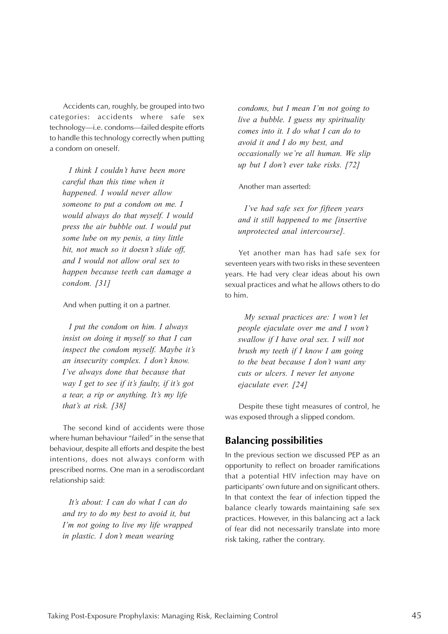<span id="page-48-0"></span>Accidents can, roughly, be grouped into two categories: accidents where safe sex technology—i.e. condoms—failed despite efforts to handle this technology correctly when putting a condom on oneself.

*I think I couldn't have been more careful than this time when it happened. I would never allow someone to put a condom on me. I would always do that myself. I would press the air bubble out. I would put some lube on my penis, a tiny little bit, not much so it doesn't slide off, and I would not allow oral sex to happen because teeth can damage a condom. [31]*

And when putting it on a partner.

*I put the condom on him. I always insist on doing it myself so that I can inspect the condom myself. Maybe it's an insecurity complex. I don't know. I've always done that because that way I get to see if it's faulty, if it's got a tear, a rip or anything. It's my life that's at risk. [38]*

The second kind of accidents were those where human behaviour "failed" in the sense that behaviour, despite all efforts and despite the best intentions, does not always conform with prescribed norms. One man in a serodiscordant relationship said:

*It's about: I can do what I can do and try to do my best to avoid it, but I'm not going to live my life wrapped in plastic. I don't mean wearing*

*condoms, but I mean I'm not going to live a bubble. I guess my spirituality comes into it. I do what I can do to avoid it and I do my best, and occasionally we're all human. We slip up but I don't ever take risks. [72]*

Another man asserted:

*I've had safe sex for fifteen years and it still happened to me [insertive unprotected anal intercourse].*

Yet another man has had safe sex for seventeen years with two risks in these seventeen years. He had very clear ideas about his own sexual practices and what he allows others to do to him.

*My sexual practices are: I won't let people ejaculate over me and I won't swallow if I have oral sex. I will not brush my teeth if I know I am going to the beat because I don't want any cuts or ulcers. I never let anyone ejaculate ever. [24]*

Despite these tight measures of control, he was exposed through a slipped condom.

#### **Balancing possibilities**

In the previous section we discussed PEP as an opportunity to reflect on broader ramifications that a potential HIV infection may have on participants' own future and on significant others. In that context the fear of infection tipped the balance clearly towards maintaining safe sex practices. However, in this balancing act a lack of fear did not necessarily translate into more risk taking, rather the contrary.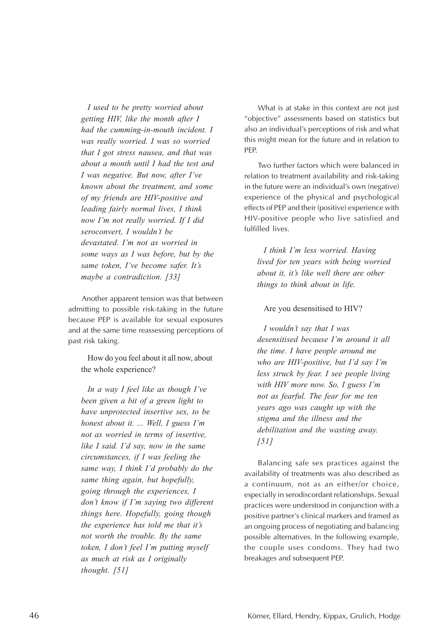*I used to be pretty worried about getting HIV, like the month after I had the cumming-in-mouth incident. I was really worried. I was so worried that I got stress nausea, and that was about a month until I had the test and I was negative. But now, after I've known about the treatment, and some of my friends are HIV-positive and leading fairly normal lives, I think now I'm not really worried. If I did seroconvert, I wouldn't be devastated. I'm not as worried in some ways as I was before, but by the same token, I've become safer. It's maybe a contradiction. [33]*

Another apparent tension was that between admitting to possible risk-taking in the future because PEP is available for sexual exposures and at the same time reassessing perceptions of past risk taking.

How do you feel about it all now, about the whole experience?

*In a way I feel like as though I've been given a bit of a green light to have unprotected insertive sex, to be honest about it. ... Well, I guess I'm not as worried in terms of insertive, like I said. I'd say, now in the same circumstances, if I was feeling the same way, I think I'd probably do the same thing again, but hopefully, going through the experiences, I don't know if I'm saying two different things here. Hopefully, going though the experience has told me that it's not worth the trouble. By the same token, I don't feel I'm putting myself as much at risk as I originally thought. [51]*

What is at stake in this context are not just "objective" assessments based on statistics but also an individual's perceptions of risk and what this might mean for the future and in relation to PEP.

Two further factors which were balanced in relation to treatment availability and risk-taking in the future were an individual's own (negative) experience of the physical and psychological effects of PEP and their (positive) experience with HIV-positive people who live satisfied and fulfilled lives.

*I think I'm less worried. Having lived for ten years with being worried about it, it's like well there are other things to think about in life.*

#### Are you desensitised to HIV?

*I wouldn't say that I was desensitised because I'm around it all the time. I have people around me who are HIV-positive, but I'd say I'm less struck by fear. I see people living with HIV more now. So, I guess I'm not as fearful. The fear for me ten years ago was caught up with the stigma and the illness and the debilitation and the wasting away. [51]*

Balancing safe sex practices against the availability of treatments was also described as a continuum, not as an either/or choice, especially in serodiscordant relationships. Sexual practices were understood in conjunction with a positive partner's clinical markers and framed as an ongoing process of negotiating and balancing possible alternatives. In the following example, the couple uses condoms. They had two breakages and subsequent PEP.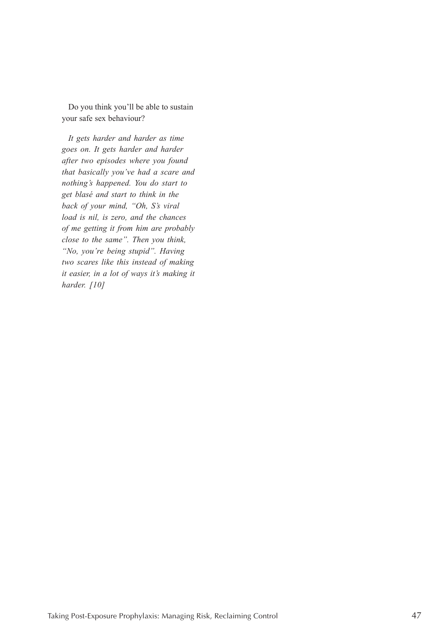Do you think you'll be able to sustain your safe sex behaviour?

*It gets harder and harder as time goes on. It gets harder and harder after two episodes where you found that basically you've had a scare and nothing's happened. You do start to get blasé and start to think in the back of your mind, "Oh, S's viral load is nil, is zero, and the chances of me getting it from him are probably close to the same". Then you think, "No, you're being stupid". Having two scares like this instead of making it easier, in a lot of ways it's making it harder. [10]*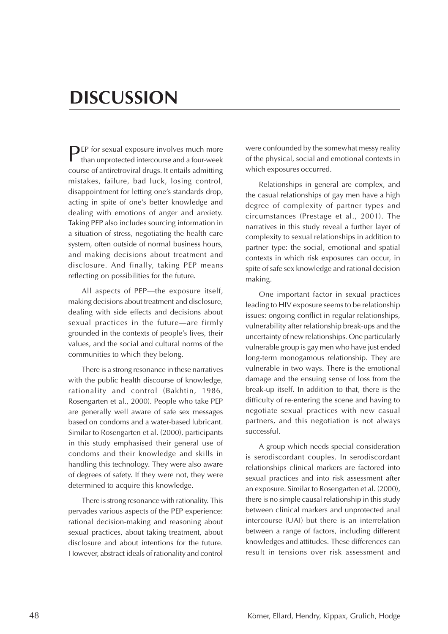# <span id="page-51-0"></span>**DISCUSSION**

**PEP** for sexual exposure involves much more than unprotected intercourse and a four-week course of antiretroviral drugs. It entails admitting mistakes, failure, bad luck, losing control, disappointment for letting one's standards drop, acting in spite of one's better knowledge and dealing with emotions of anger and anxiety. Taking PEP also includes sourcing information in a situation of stress, negotiating the health care system, often outside of normal business hours, and making decisions about treatment and disclosure. And finally, taking PEP means reflecting on possibilities for the future.

All aspects of PEP—the exposure itself, making decisions about treatment and disclosure, dealing with side effects and decisions about sexual practices in the future—are firmly grounded in the contexts of people's lives, their values, and the social and cultural norms of the communities to which they belong.

There is a strong resonance in these narratives with the public health discourse of knowledge, rationality and control (Bakhtin, 1986, Rosengarten et al., 2000). People who take PEP are generally well aware of safe sex messages based on condoms and a water-based lubricant. Similar to Rosengarten et al. (2000), participants in this study emphasised their general use of condoms and their knowledge and skills in handling this technology. They were also aware of degrees of safety. If they were not, they were determined to acquire this knowledge.

There is strong resonance with rationality. This pervades various aspects of the PEP experience: rational decision-making and reasoning about sexual practices, about taking treatment, about disclosure and about intentions for the future. However, abstract ideals of rationality and control

were confounded by the somewhat messy reality of the physical, social and emotional contexts in which exposures occurred.

Relationships in general are complex, and the casual relationships of gay men have a high degree of complexity of partner types and circumstances (Prestage et al., 2001). The narratives in this study reveal a further layer of complexity to sexual relationships in addition to partner type: the social, emotional and spatial contexts in which risk exposures can occur, in spite of safe sex knowledge and rational decision making.

One important factor in sexual practices leading to HIV exposure seems to be relationship issues: ongoing conflict in regular relationships, vulnerability after relationship break-ups and the uncertainty of new relationships. One particularly vulnerable group is gay men who have just ended long-term monogamous relationship. They are vulnerable in two ways. There is the emotional damage and the ensuing sense of loss from the break-up itself. In addition to that, there is the difficulty of re-entering the scene and having to negotiate sexual practices with new casual partners, and this negotiation is not always successful.

A group which needs special consideration is serodiscordant couples. In serodiscordant relationships clinical markers are factored into sexual practices and into risk assessment after an exposure. Similar to Rosengarten et al. (2000), there is no simple causal relationship in this study between clinical markers and unprotected anal intercourse (UAI) but there is an interrelation between a range of factors, including different knowledges and attitudes. These differences can result in tensions over risk assessment and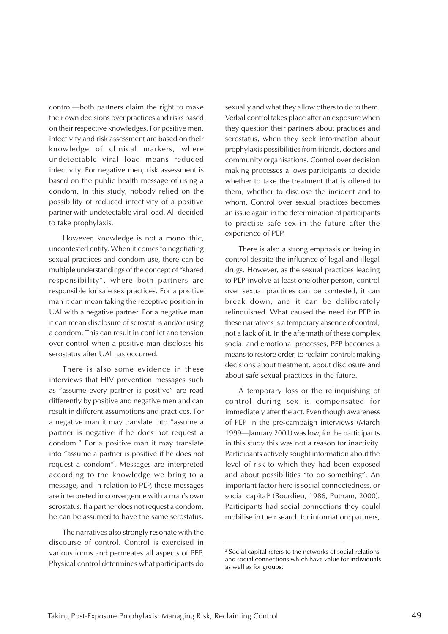control—both partners claim the right to make their own decisions over practices and risks based on their respective knowledges. For positive men, infectivity and risk assessment are based on their knowledge of clinical markers, where undetectable viral load means reduced infectivity. For negative men, risk assessment is based on the public health message of using a condom. In this study, nobody relied on the possibility of reduced infectivity of a positive partner with undetectable viral load. All decided to take prophylaxis.

However, knowledge is not a monolithic, uncontested entity. When it comes to negotiating sexual practices and condom use, there can be multiple understandings of the concept of "shared responsibility", where both partners are responsible for safe sex practices. For a positive man it can mean taking the receptive position in UAI with a negative partner. For a negative man it can mean disclosure of serostatus and/or using a condom. This can result in conflict and tension over control when a positive man discloses his serostatus after UAI has occurred.

There is also some evidence in these interviews that HIV prevention messages such as "assume every partner is positive" are read differently by positive and negative men and can result in different assumptions and practices. For a negative man it may translate into "assume a partner is negative if he does not request a condom." For a positive man it may translate into "assume a partner is positive if he does not request a condom". Messages are interpreted according to the knowledge we bring to a message, and in relation to PEP, these messages are interpreted in convergence with a man's own serostatus. If a partner does not request a condom, he can be assumed to have the same serostatus.

The narratives also strongly resonate with the discourse of control. Control is exercised in various forms and permeates all aspects of PEP. Physical control determines what participants do

sexually and what they allow others to do to them. Verbal control takes place after an exposure when they question their partners about practices and serostatus, when they seek information about prophylaxis possibilities from friends, doctors and community organisations. Control over decision making processes allows participants to decide whether to take the treatment that is offered to them, whether to disclose the incident and to whom. Control over sexual practices becomes an issue again in the determination of participants to practise safe sex in the future after the experience of PEP.

There is also a strong emphasis on being in control despite the influence of legal and illegal drugs. However, as the sexual practices leading to PEP involve at least one other person, control over sexual practices can be contested, it can break down, and it can be deliberately relinquished. What caused the need for PEP in these narratives is a temporary absence of control, not a lack of it. In the aftermath of these complex social and emotional processes, PEP becomes a means to restore order, to reclaim control: making decisions about treatment, about disclosure and about safe sexual practices in the future.

A temporary loss or the relinquishing of control during sex is compensated for immediately after the act. Even though awareness of PEP in the pre-campaign interviews (March 1999—January 2001) was low, for the participants in this study this was not a reason for inactivity. Participants actively sought information about the level of risk to which they had been exposed and about possibilities "to do something". An important factor here is social connectedness, or social capital2 (Bourdieu, 1986, Putnam, 2000). Participants had social connections they could mobilise in their search for information: partners,

<sup>2</sup> Social capital refers to the networks of social relations and social connections which have value for individuals as well as for groups.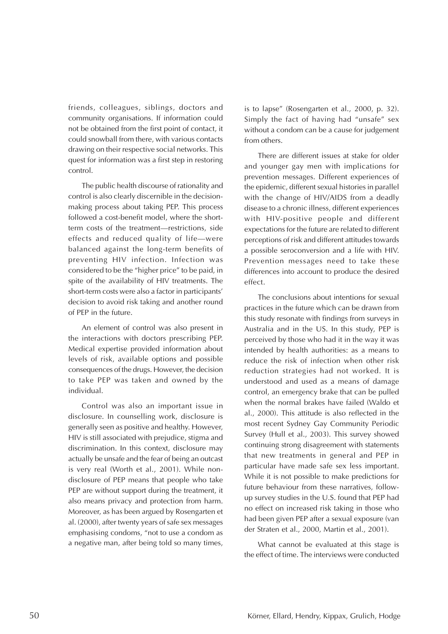friends, colleagues, siblings, doctors and community organisations. If information could not be obtained from the first point of contact, it could snowball from there, with various contacts drawing on their respective social networks. This quest for information was a first step in restoring control.

The public health discourse of rationality and control is also clearly discernible in the decisionmaking process about taking PEP. This process followed a cost-benefit model, where the shortterm costs of the treatment—restrictions, side effects and reduced quality of life—were balanced against the long-term benefits of preventing HIV infection. Infection was considered to be the "higher price" to be paid, in spite of the availability of HIV treatments. The short-term costs were also a factor in participants' decision to avoid risk taking and another round of PEP in the future.

An element of control was also present in the interactions with doctors prescribing PEP. Medical expertise provided information about levels of risk, available options and possible consequences of the drugs. However, the decision to take PEP was taken and owned by the individual.

Control was also an important issue in disclosure. In counselling work, disclosure is generally seen as positive and healthy. However, HIV is still associated with prejudice, stigma and discrimination. In this context, disclosure may actually be unsafe and the fear of being an outcast is very real (Worth et al., 2001). While nondisclosure of PEP means that people who take PEP are without support during the treatment, it also means privacy and protection from harm. Moreover, as has been argued by Rosengarten et al. (2000), after twenty years of safe sex messages emphasising condoms, "not to use a condom as a negative man, after being told so many times,

is to lapse" (Rosengarten et al., 2000, p. 32). Simply the fact of having had "unsafe" sex without a condom can be a cause for judgement from others.

There are different issues at stake for older and younger gay men with implications for prevention messages. Different experiences of the epidemic, different sexual histories in parallel with the change of HIV/AIDS from a deadly disease to a chronic illness, different experiences with HIV-positive people and different expectations for the future are related to different perceptions of risk and different attitudes towards a possible seroconversion and a life with HIV. Prevention messages need to take these differences into account to produce the desired effect.

The conclusions about intentions for sexual practices in the future which can be drawn from this study resonate with findings from surveys in Australia and in the US. In this study, PEP is perceived by those who had it in the way it was intended by health authorities: as a means to reduce the risk of infection when other risk reduction strategies had not worked. It is understood and used as a means of damage control, an emergency brake that can be pulled when the normal brakes have failed (Waldo et al., 2000). This attitude is also reflected in the most recent Sydney Gay Community Periodic Survey (Hull et al., 2003). This survey showed continuing strong disagreement with statements that new treatments in general and PEP in particular have made safe sex less important. While it is not possible to make predictions for future behaviour from these narratives, followup survey studies in the U.S. found that PEP had no effect on increased risk taking in those who had been given PEP after a sexual exposure (van der Straten et al., 2000, Martin et al., 2001).

What cannot be evaluated at this stage is the effect of time. The interviews were conducted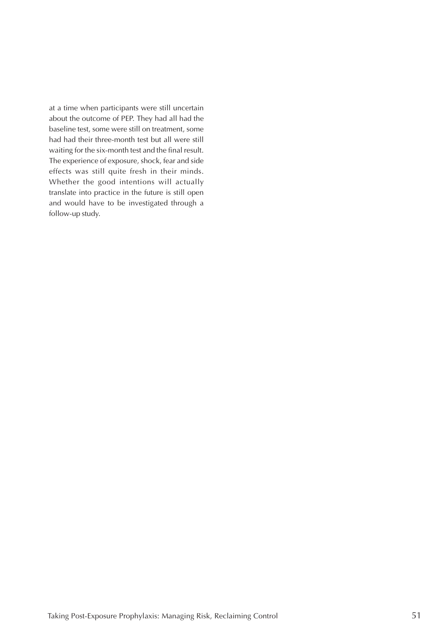at a time when participants were still uncertain about the outcome of PEP. They had all had the baseline test, some were still on treatment, some had had their three-month test but all were still waiting for the six-month test and the final result. The experience of exposure, shock, fear and side effects was still quite fresh in their minds. Whether the good intentions will actually translate into practice in the future is still open and would have to be investigated through a follow-up study.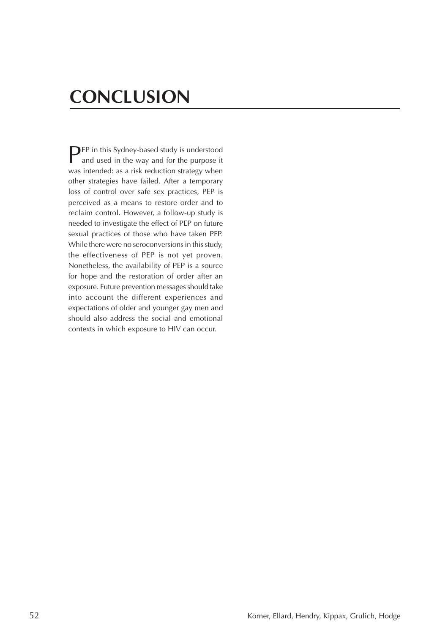# <span id="page-55-0"></span>**CONCLUSION**

**PEP** in this Sydney-based study is understood and used in the way and for the purpose it was intended: as a risk reduction strategy when other strategies have failed. After a temporary loss of control over safe sex practices, PEP is perceived as a means to restore order and to reclaim control. However, a follow-up study is needed to investigate the effect of PEP on future sexual practices of those who have taken PEP. While there were no seroconversions in this study, the effectiveness of PEP is not yet proven. Nonetheless, the availability of PEP is a source for hope and the restoration of order after an exposure. Future prevention messages should take into account the different experiences and expectations of older and younger gay men and should also address the social and emotional contexts in which exposure to HIV can occur.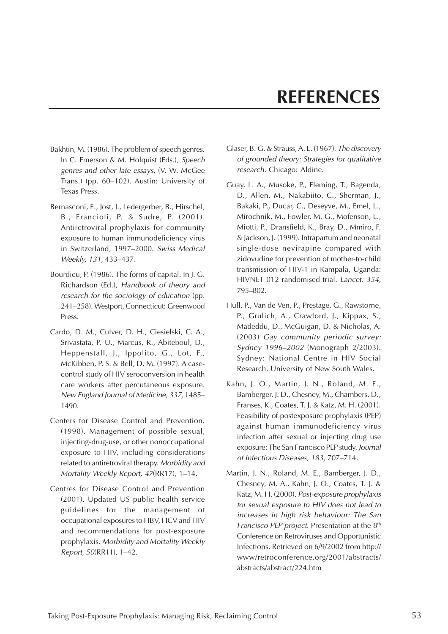# **REFERENCES**

- <span id="page-56-0"></span>Bakhtin, M. (1986). The problem of speech genres. In C. Emerson & M. Holquist (Eds.), Speech genres and other late essays. (V. W. McGee Trans.) (pp. 60–102). Austin: University of Texas Press.
- Bernasconi, E., Jost, J., Ledergerber, B., Hirschel, B., Francioli, P. & Sudre, P. (2001). Antiretroviral prophylaxis for community exposure to human immunodeficiency virus in Switzerland, 1997–2000. Swiss Medical Weekly, 131, 433–437.
- Bourdieu, P. (1986). The forms of capital. In J. G. Richardson (Ed.), Handbook of theory and research for the sociology of education (pp. 241–258). Westport, Connecticut: Greenwood Press.
- Cardo, D. M., Culver, D. H., Ciesielski, C. A., Srivastata, P. U., Marcus, R., Abiteboul, D., Heppenstall, J., Ippolito, G., Lot, F., McKibben, P. S. & Bell, D. M. (1997). A casecontrol study of HIV seroconversion in health care workers after percutaneous exposure. New England Journal of Medicine, 337, 1485– 1490.
- Centers for Disease Control and Prevention. (1998). Management of possible sexual, injecting-drug-use, or other nonoccupational exposure to HIV, including considerations related to antiretroviral therapy. Morbidity and Mortality Weekly Report, 47(RR17), 1–14.
- Centres for Disease Control and Prevention (2001). Updated US public health service guidelines for the management of occupational exposures to HBV, HCV and HIV and recommendations for post-exposure prophylaxis. Morbidity and Mortality Weekly Report, 50(RR11), 1–42.
- Glaser, B. G. & Strauss, A. L. (1967). The discovery of grounded theory: Strategies for qualitative research. Chicago: Aldine.
- Guay, L. A., Musoke, P., Fleming, T., Bagenda, D., Allen, M., Nakabiito, C., Sherman, J., Bakaki, P., Ducar, C., Deseyve, M., Emel, L., Mirochnik, M., Fowler, M. G., Mofenson, L., Miotti, P., Dransfield, K., Bray, D., Mmiro, F. & Jackson, J. (1999). Intrapartum and neonatal single-dose nevirapine compared with zidovudine for prevention of mother-to-child transmission of HIV-1 in Kampala, Uganda: HIVNET 012 randomised trial. Lancet, 354, 795–802.
- Hull, P., Van de Ven, P., Prestage, G., Rawstorne, P., Grulich, A., Crawford, J., Kippax, S., Madeddu, D., McGuigan, D. & Nicholas, A. (2003) Gay community periodic survey: Sydney 1996–2002 (Monograph 2/2003). Sydney: National Centre in HIV Social Research, University of New South Wales.
- Kahn, J. O., Martin, J. N., Roland, M. E., Bamberger, J. D., Chesney, M., Chambers, D., Franses, K., Coates, T. J. & Katz, M. H. (2001). Feasibility of postexposure prophylaxis (PEP) against human immunodeficiency virus infection after sexual or injecting drug use exposure: The San Francisco PEP study. Journal of Infectious Diseases, 183, 707–714.
- Martin, J. N., Roland, M. E., Bamberger, J. D., Chesney, M. A., Kahn, J. O., Coates, T. J. & Katz, M. H. (2000). Post-exposure prophylaxis for sexual exposure to HIV does not lead to increases in high risk behaviour: The San Francisco PEP project. Presentation at the 8<sup>th</sup> Conference on Retroviruses and Opportunistic Infections. Retrieved on 6/9/2002 from http:// www/retroconference.org/2001/abstracts/ abstracts/abstract/224.htm